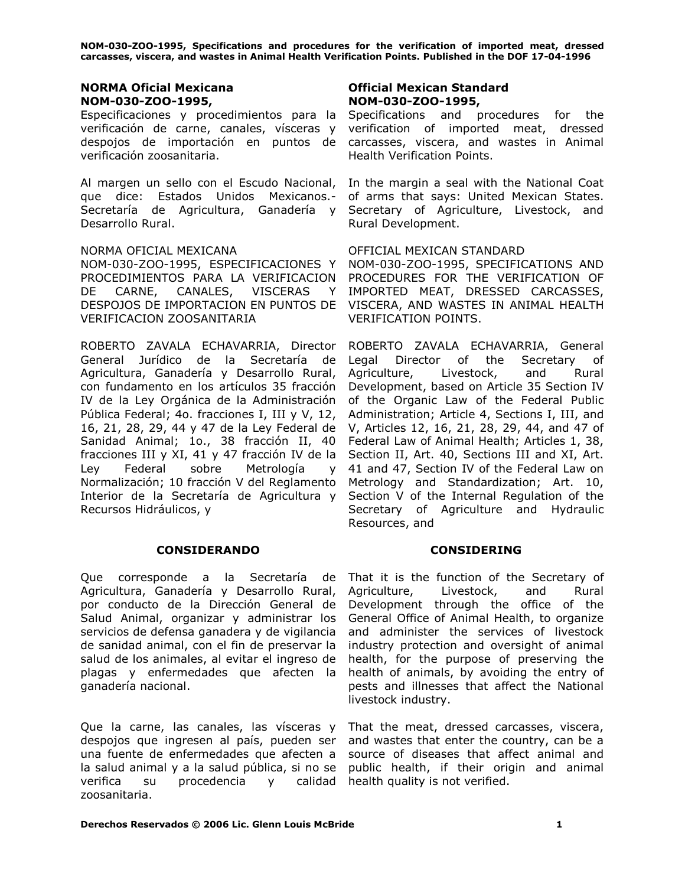### **NORMA Oficial Mexicana NOM-030-ZOO-1995,**

Especificaciones y procedimientos para la verificación de carne, canales, vísceras y despojos de importación en puntos de verificación zoosanitaria.

Al margen un sello con el Escudo Nacional, que dice: Estados Unidos Mexicanos.- Secretaría de Agricultura, Ganadería y Desarrollo Rural.

### NORMA OFICIAL MEXICANA

NOM-030-ZOO-1995, ESPECIFICACIONES Y PROCEDIMIENTOS PARA LA VERIFICACION DE CARNE, CANALES, VISCERAS Y DESPOJOS DE IMPORTACION EN PUNTOS DE VERIFICACION ZOOSANITARIA

ROBERTO ZAVALA ECHAVARRIA, Director General Jurídico de la Secretaría de Agricultura, Ganadería y Desarrollo Rural, con fundamento en los artículos 35 fracción IV de la Ley Orgánica de la Administración Pública Federal; 4o. fracciones I, III y V, 12, 16, 21, 28, 29, 44 y 47 de la Ley Federal de Sanidad Animal; 1o., 38 fracción II, 40 fracciones III y XI, 41 y 47 fracción IV de la Ley Federal sobre Metrología y Normalización; 10 fracción V del Reglamento Interior de la Secretaría de Agricultura y Recursos Hidráulicos, y

### **CONSIDERANDO CONSIDERING**

Que corresponde a la Secretaría de Agricultura, Ganadería y Desarrollo Rural, por conducto de la Dirección General de Salud Animal, organizar y administrar los servicios de defensa ganadera y de vigilancia de sanidad animal, con el fin de preservar la salud de los animales, al evitar el ingreso de plagas y enfermedades que afecten la ganadería nacional.

Que la carne, las canales, las vísceras y That the meat, dressed carcasses, viscera, despojos que ingresen al país, pueden ser and wastes that enter the country, can be a una fuente de enfermedades que afecten a source of diseases that affect animal and la salud animal y a la salud pública, si no se verifica su procedencia y zoosanitaria.

### **Official Mexican Standard NOM-030-ZOO-1995,**

Specifications and procedures for the verification of imported meat, dressed carcasses, viscera, and wastes in Animal Health Verification Points.

In the margin a seal with the National Coat of arms that says: United Mexican States. Secretary of Agriculture, Livestock, and Rural Development.

### OFFICIAL MEXICAN STANDARD

NOM-030-ZOO-1995, SPECIFICATIONS AND PROCEDURES FOR THE VERIFICATION OF IMPORTED MEAT, DRESSED CARCASSES, VISCERA, AND WASTES IN ANIMAL HEALTH VERIFICATION POINTS.

ROBERTO ZAVALA ECHAVARRIA, General Legal Director of the Secretary of Agriculture, Livestock, and Rural Development, based on Article 35 Section IV of the Organic Law of the Federal Public Administration; Article 4, Sections I, III, and V, Articles 12, 16, 21, 28, 29, 44, and 47 of Federal Law of Animal Health; Articles 1, 38, Section II, Art. 40, Sections III and XI, Art. 41 and 47, Section IV of the Federal Law on Metrology and Standardization; Art. 10, Section V of the Internal Regulation of the Secretary of Agriculture and Hydraulic Resources, and

That it is the function of the Secretary of Agriculture, Livestock, and Rural Development through the office of the General Office of Animal Health, to organize and administer the services of livestock industry protection and oversight of animal health, for the purpose of preserving the health of animals, by avoiding the entry of pests and illnesses that affect the National livestock industry.

public health, if their origin and animal calidad health quality is not verified.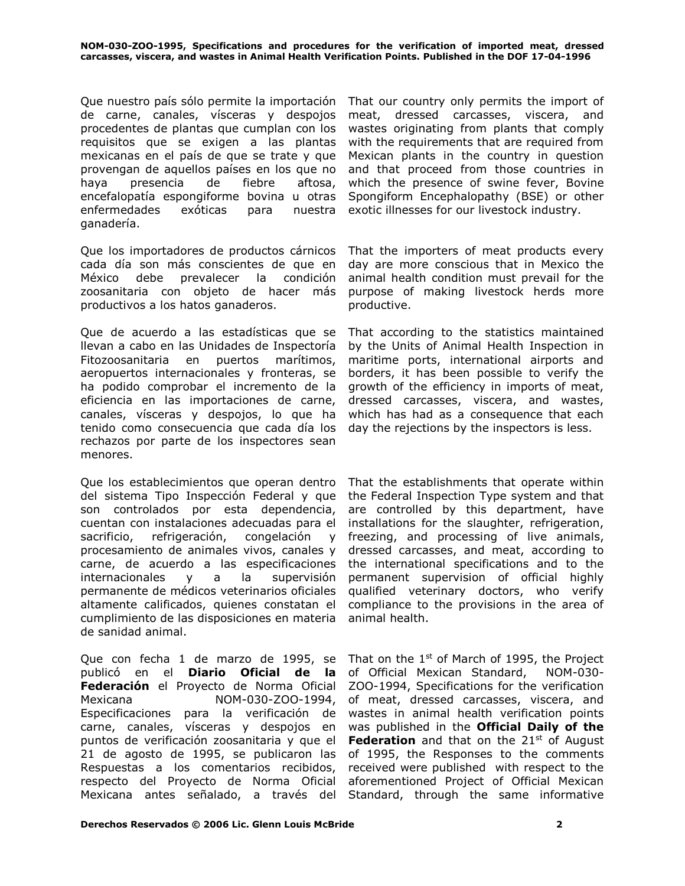Que nuestro país sólo permite la importación de carne, canales, vísceras y despojos procedentes de plantas que cumplan con los requisitos que se exigen a las plantas mexicanas en el país de que se trate y que provengan de aquellos países en los que no haya presencia de fiebre aftosa, encefalopatía espongiforme bovina u otras enfermedades exóticas para nuestra ganadería.

Que los importadores de productos cárnicos cada día son más conscientes de que en México debe prevalecer la condición zoosanitaria con objeto de hacer más productivos a los hatos ganaderos.

Que de acuerdo a las estadísticas que se llevan a cabo en las Unidades de Inspectoría Fitozoosanitaria en puertos marítimos, aeropuertos internacionales y fronteras, se ha podido comprobar el incremento de la eficiencia en las importaciones de carne, canales, vísceras y despojos, lo que ha tenido como consecuencia que cada día los rechazos por parte de los inspectores sean menores.

Que los establecimientos que operan dentro del sistema Tipo Inspección Federal y que son controlados por esta dependencia, cuentan con instalaciones adecuadas para el sacrificio, refrigeración, congelación y procesamiento de animales vivos, canales y carne, de acuerdo a las especificaciones internacionales y a la supervisión permanente de médicos veterinarios oficiales altamente calificados, quienes constatan el cumplimiento de las disposiciones en materia de sanidad animal.

Que con fecha 1 de marzo de 1995, se publicó en el **Diario Oficial de la Federación** el Proyecto de Norma Oficial Mexicana NOM-030-ZOO-1994, Especificaciones para la verificación de carne, canales, vísceras y despojos en puntos de verificación zoosanitaria y que el 21 de agosto de 1995, se publicaron las Respuestas a los comentarios recibidos, respecto del Proyecto de Norma Oficial

That our country only permits the import of meat, dressed carcasses, viscera, and wastes originating from plants that comply with the requirements that are required from Mexican plants in the country in question and that proceed from those countries in which the presence of swine fever, Bovine Spongiform Encephalopathy (BSE) or other exotic illnesses for our livestock industry.

That the importers of meat products every day are more conscious that in Mexico the animal health condition must prevail for the purpose of making livestock herds more productive.

That according to the statistics maintained by the Units of Animal Health Inspection in maritime ports, international airports and borders, it has been possible to verify the growth of the efficiency in imports of meat, dressed carcasses, viscera, and wastes, which has had as a consequence that each day the rejections by the inspectors is less.

That the establishments that operate within the Federal Inspection Type system and that are controlled by this department, have installations for the slaughter, refrigeration, freezing, and processing of live animals, dressed carcasses, and meat, according to the international specifications and to the permanent supervision of official highly qualified veterinary doctors, who verify compliance to the provisions in the area of animal health.

Mexicana antes señalado, a través del Standard, through the same informative That on the  $1<sup>st</sup>$  of March of 1995, the Project of Official Mexican Standard, NOM-030- ZOO-1994, Specifications for the verification of meat, dressed carcasses, viscera, and wastes in animal health verification points was published in the **Official Daily of the Federation** and that on the 21<sup>st</sup> of August of 1995, the Responses to the comments received were published with respect to the aforementioned Project of Official Mexican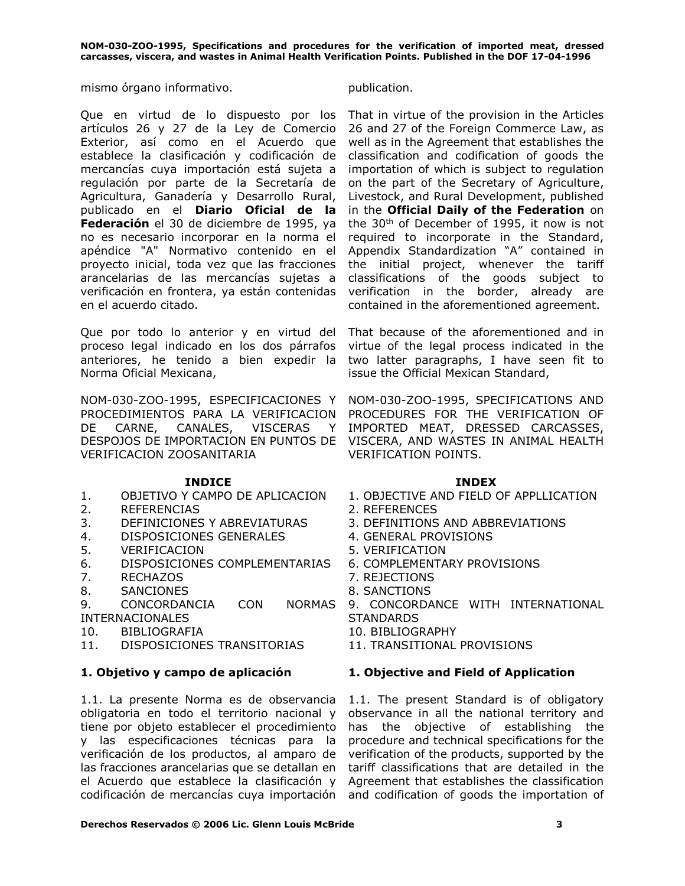mismo órgano informativo. entre entre en la publication.

Que en virtud de lo dispuesto por los artículos 26 y 27 de la Ley de Comercio Exterior, así como en el Acuerdo que establece la clasificación y codificación de mercancías cuya importación está sujeta a regulación por parte de la Secretaría de Agricultura, Ganadería y Desarrollo Rural, publicado en el **Diario Oficial de la Federación** el 30 de diciembre de 1995, ya no es necesario incorporar en la norma el apéndice "A" Normativo contenido en el proyecto inicial, toda vez que las fracciones arancelarias de las mercancías sujetas a verificación en frontera, ya están contenidas en el acuerdo citado.

Que por todo lo anterior y en virtud del proceso legal indicado en los dos párrafos anteriores, he tenido a bien expedir la Norma Oficial Mexicana,

NOM-030-ZOO-1995, ESPECIFICACIONES Y PROCEDIMIENTOS PARA LA VERIFICACION DE CARNE, CANALES, VISCERAS Y DESPOJOS DE IMPORTACION EN PUNTOS DE VERIFICACION ZOOSANITARIA

### **INDICE INDEX**

- 
- 2. REFERENCIAS 2. REFERENCES
- 3. DEFINICIONES Y ABREVIATURAS 3. DEFINITIONS AND ABBREVIATIONS
- 4. DISPOSICIONES GENERALES 4. GENERAL PROVISIONS
- 5. VERIFICACION 5. VERIFICATION
- 6. DISPOSICIONES COMPLEMENTARIAS 6. COMPLEMENTARY PROVISIONS
- 7. RECHAZOS 7. REJECTIONS
- 8. SANCIONES 8. SANCTIONS
- 9. CONCORDANCIA CON NORMAS INTERNACIONALES
- 10. BIBLIOGRAFIA 10. BIBLIOGRAPHY
- 11. DISPOSICIONES TRANSITORIAS 11. TRANSITIONAL PROVISIONS

1.1. La presente Norma es de observancia obligatoria en todo el territorio nacional y tiene por objeto establecer el procedimiento y las especificaciones técnicas para la verificación de los productos, al amparo de las fracciones arancelarias que se detallan en el Acuerdo que establece la clasificación y codificación de mercancías cuya importación and codification of goods the importation of

That in virtue of the provision in the Articles 26 and 27 of the Foreign Commerce Law, as well as in the Agreement that establishes the classification and codification of goods the importation of which is subject to regulation on the part of the Secretary of Agriculture, Livestock, and Rural Development, published in the **Official Daily of the Federation** on the 30th of December of 1995, it now is not required to incorporate in the Standard, Appendix Standardization "A" contained in the initial project, whenever the tariff classifications of the goods subject to verification in the border, already are contained in the aforementioned agreement.

That because of the aforementioned and in virtue of the legal process indicated in the two latter paragraphs, I have seen fit to issue the Official Mexican Standard,

NOM-030-ZOO-1995, SPECIFICATIONS AND PROCEDURES FOR THE VERIFICATION OF IMPORTED MEAT, DRESSED CARCASSES, VISCERA, AND WASTES IN ANIMAL HEALTH VERIFICATION POINTS.

- 1. OBJETIVO Y CAMPO DE APLICACION 1. OBJECTIVE AND FIELD OF APPLLICATION
	-
	-
	-
	-
	-
	-
	-
	- 9. CONCORDANCE WITH INTERNATIONAL **STANDARDS**
	-
	-

### **1. Objetivo y campo de aplicación 1. Objective and Field of Application**

1.1. The present Standard is of obligatory observance in all the national territory and has the objective of establishing the procedure and technical specifications for the verification of the products, supported by the tariff classifications that are detailed in the Agreement that establishes the classification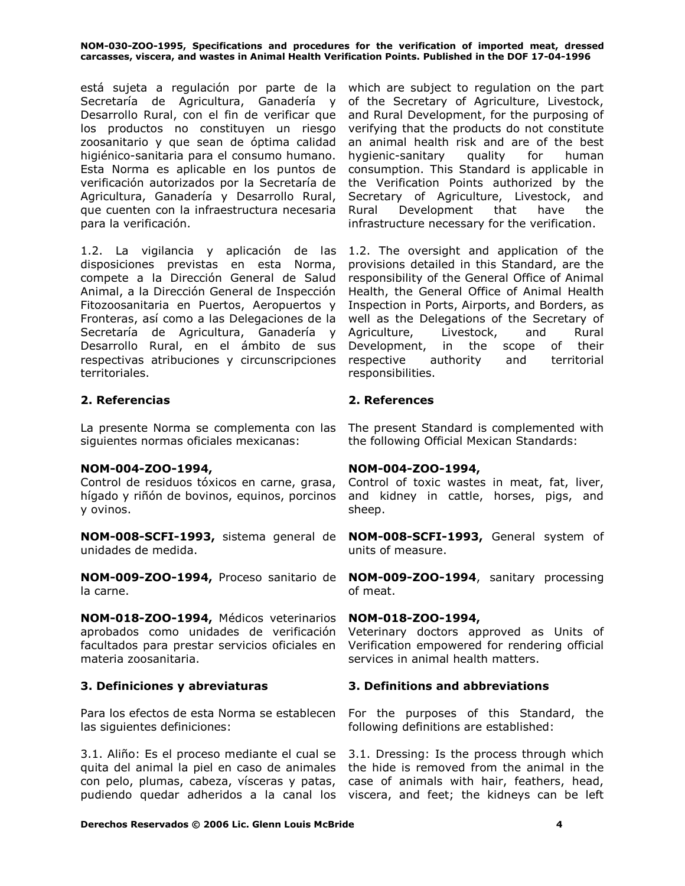está sujeta a regulación por parte de la which are subject to regulation on the part Secretaría de Agricultura, Ganadería y Desarrollo Rural, con el fin de verificar que los productos no constituyen un riesgo zoosanitario y que sean de óptima calidad higiénico-sanitaria para el consumo humano. Esta Norma es aplicable en los puntos de verificación autorizados por la Secretaría de Agricultura, Ganadería y Desarrollo Rural, que cuenten con la infraestructura necesaria para la verificación.

1.2. La vigilancia y aplicación de las disposiciones previstas en esta Norma, compete a la Dirección General de Salud Animal, a la Dirección General de Inspección Fitozoosanitaria en Puertos, Aeropuertos y Fronteras, así como a las Delegaciones de la Secretaría de Agricultura, Ganadería y Desarrollo Rural, en el ámbito de sus respectivas atribuciones y circunscripciones territoriales.

### **2. Referencias 2. References**

La presente Norma se complementa con las siguientes normas oficiales mexicanas:

### **NOM-004-ZOO-1994,**

Control de residuos tóxicos en carne, grasa, hígado y riñón de bovinos, equinos, porcinos y ovinos.

**NOM-008-SCFI-1993,** sistema general de unidades de medida.

**NOM-009-ZOO-1994,** Proceso sanitario de **NOM-009-ZOO-1994**, sanitary processing la carne.

**NOM-018-ZOO-1994,** Médicos veterinarios aprobados como unidades de verificación facultados para prestar servicios oficiales en materia zoosanitaria.

las siguientes definiciones:

3.1. Aliño: Es el proceso mediante el cual se quita del animal la piel en caso de animales con pelo, plumas, cabeza, vísceras y patas, pudiendo quedar adheridos a la canal los viscera, and feet; the kidneys can be left

of the Secretary of Agriculture, Livestock, and Rural Development, for the purposing of verifying that the products do not constitute an animal health risk and are of the best hygienic-sanitary quality for human consumption. This Standard is applicable in the Verification Points authorized by the Secretary of Agriculture, Livestock, and Rural Development that have the infrastructure necessary for the verification.

1.2. The oversight and application of the provisions detailed in this Standard, are the responsibility of the General Office of Animal Health, the General Office of Animal Health Inspection in Ports, Airports, and Borders, as well as the Delegations of the Secretary of Agriculture, Livestock, and Rural Development, in the scope of their respective authority and territorial responsibilities.

The present Standard is complemented with the following Official Mexican Standards:

### **NOM-004-ZOO-1994,**

Control of toxic wastes in meat, fat, liver, and kidney in cattle, horses, pigs, and sheep.

**NOM-008-SCFI-1993,** General system of units of measure.

of meat.

### **NOM-018-ZOO-1994,**

Veterinary doctors approved as Units of Verification empowered for rendering official services in animal health matters.

### **3. Definiciones y abreviaturas 3. Definitions and abbreviations**

Para los efectos de esta Norma se establecen For the purposes of this Standard, the following definitions are established:

> 3.1. Dressing: Is the process through which the hide is removed from the animal in the case of animals with hair, feathers, head,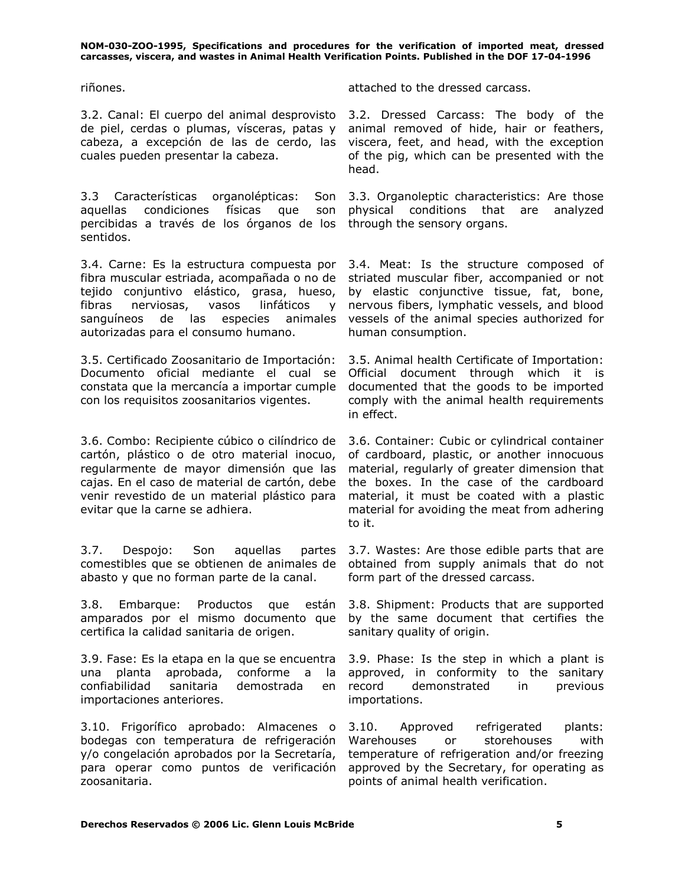3.2. Canal: El cuerpo del animal desprovisto de piel, cerdas o plumas, vísceras, patas y cabeza, a excepción de las de cerdo, las cuales pueden presentar la cabeza.

3.3 Características organolépticas: aquellas condiciones físicas que son percibidas a través de los órganos de los sentidos.

3.4. Carne: Es la estructura compuesta por fibra muscular estriada, acompañada o no de tejido conjuntivo elástico, grasa, hueso, fibras nerviosas, vasos linfáticos y sanguíneos de las especies animales autorizadas para el consumo humano.

3.5. Certificado Zoosanitario de Importación: Documento oficial mediante el cual se constata que la mercancía a importar cumple con los requisitos zoosanitarios vigentes.

3.6. Combo: Recipiente cúbico o cilíndrico de cartón, plástico o de otro material inocuo, regularmente de mayor dimensión que las cajas. En el caso de material de cartón, debe venir revestido de un material plástico para evitar que la carne se adhiera.

3.7. Despojo: Son aquellas partes comestibles que se obtienen de animales de abasto y que no forman parte de la canal.

3.8. Embarque: Productos que están 3.8. Shipment: Products that are supported amparados por el mismo documento que by the same document that certifies the certifica la calidad sanitaria de origen.

3.9. Fase: Es la etapa en la que se encuentra una planta aprobada, conforme a la confiabilidad sanitaria demostrada en importaciones anteriores.

3.10. Frigorífico aprobado: Almacenes o bodegas con temperatura de refrigeración y/o congelación aprobados por la Secretaría, para operar como puntos de verificación zoosanitaria.

riñones. attached to the dressed carcass.

3.2. Dressed Carcass: The body of the animal removed of hide, hair or feathers, viscera, feet, and head, with the exception of the pig, which can be presented with the head.

Son 3.3. Organoleptic characteristics: Are those physical conditions that are analyzed through the sensory organs.

> 3.4. Meat: Is the structure composed of striated muscular fiber, accompanied or not by elastic conjunctive tissue, fat, bone, nervous fibers, lymphatic vessels, and blood vessels of the animal species authorized for human consumption.

> 3.5. Animal health Certificate of Importation: Official document through which it is documented that the goods to be imported comply with the animal health requirements in effect.

> 3.6. Container: Cubic or cylindrical container of cardboard, plastic, or another innocuous material, regularly of greater dimension that the boxes. In the case of the cardboard material, it must be coated with a plastic material for avoiding the meat from adhering to it.

> 3.7. Wastes: Are those edible parts that are obtained from supply animals that do not form part of the dressed carcass.

> sanitary quality of origin.

3.9. Phase: Is the step in which a plant is approved, in conformity to the sanitary record demonstrated in previous importations.

3.10. Approved refrigerated plants: Warehouses or storehouses with temperature of refrigeration and/or freezing approved by the Secretary, for operating as points of animal health verification.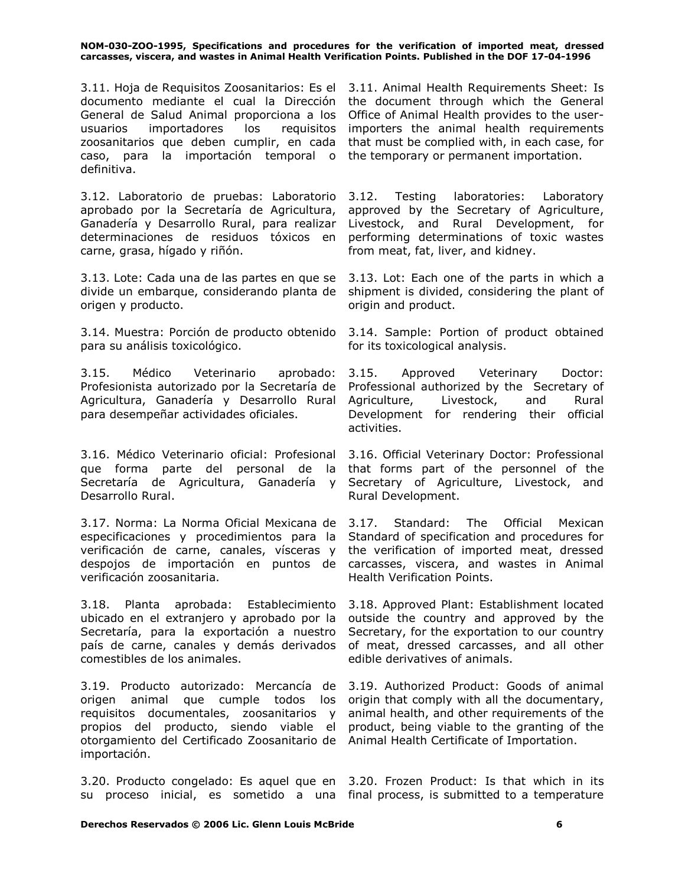3.11. Hoja de Requisitos Zoosanitarios: Es el 3.11. Animal Health Requirements Sheet: Is documento mediante el cual la Dirección the document through which the General General de Salud Animal proporciona a los Office of Animal Health provides to the userusuarios importadores los requisitos zoosanitarios que deben cumplir, en cada caso, para la importación temporal o the temporary or permanent importation. definitiva.

3.12. Laboratorio de pruebas: Laboratorio aprobado por la Secretaría de Agricultura, Ganadería y Desarrollo Rural, para realizar determinaciones de residuos tóxicos en carne, grasa, hígado y riñón.

3.13. Lote: Cada una de las partes en que se 3.13. Lot: Each one of the parts in which a divide un embarque, considerando planta de shipment is divided, considering the plant of origen y producto.

3.14. Muestra: Porción de producto obtenido 3.14. Sample: Portion of product obtained para su análisis toxicológico.

3.15. Médico Veterinario aprobado: Profesionista autorizado por la Secretaría de Agricultura, Ganadería y Desarrollo Rural para desempeñar actividades oficiales.

3.16. Médico Veterinario oficial: Profesional que forma parte del personal de la Secretaría de Agricultura, Ganadería y Desarrollo Rural.

3.17. Norma: La Norma Oficial Mexicana de especificaciones y procedimientos para la verificación de carne, canales, vísceras y despojos de importación en puntos de verificación zoosanitaria.

3.18. Planta aprobada: Establecimiento 3.18. Approved Plant: Establishment located ubicado en el extranjero y aprobado por la outside the country and approved by the Secretaría, para la exportación a nuestro país de carne, canales y demás derivados comestibles de los animales.

3.19. Producto autorizado: Mercancía de 3.19. Authorized Product: Goods of animal origen animal que cumple todos los requisitos documentales, zoosanitarios y animal health, and other requirements of the propios del producto, siendo viable el product, being viable to the granting of the otorgamiento del Certificado Zoosanitario de Animal Health Certificate of Importation. importación.

3.20. Producto congelado: Es aquel que en 3.20. Frozen Product: Is that which in its su proceso inicial, es sometido a una final process, is submitted to a temperature

importers the animal health requirements that must be complied with, in each case, for

Testing laboratories: Laboratory approved by the Secretary of Agriculture, Livestock, and Rural Development, for performing determinations of toxic wastes from meat, fat, liver, and kidney.

origin and product.

for its toxicological analysis.

3.15. Approved Veterinary Doctor: Professional authorized by the Secretary of Agriculture, Livestock, and Rural Development for rendering their official activities.

3.16. Official Veterinary Doctor: Professional that forms part of the personnel of the Secretary of Agriculture, Livestock, and Rural Development.

3.17. Standard: The Official Mexican Standard of specification and procedures for the verification of imported meat, dressed carcasses, viscera, and wastes in Animal Health Verification Points.

Secretary, for the exportation to our country of meat, dressed carcasses, and all other edible derivatives of animals.

origin that comply with all the documentary,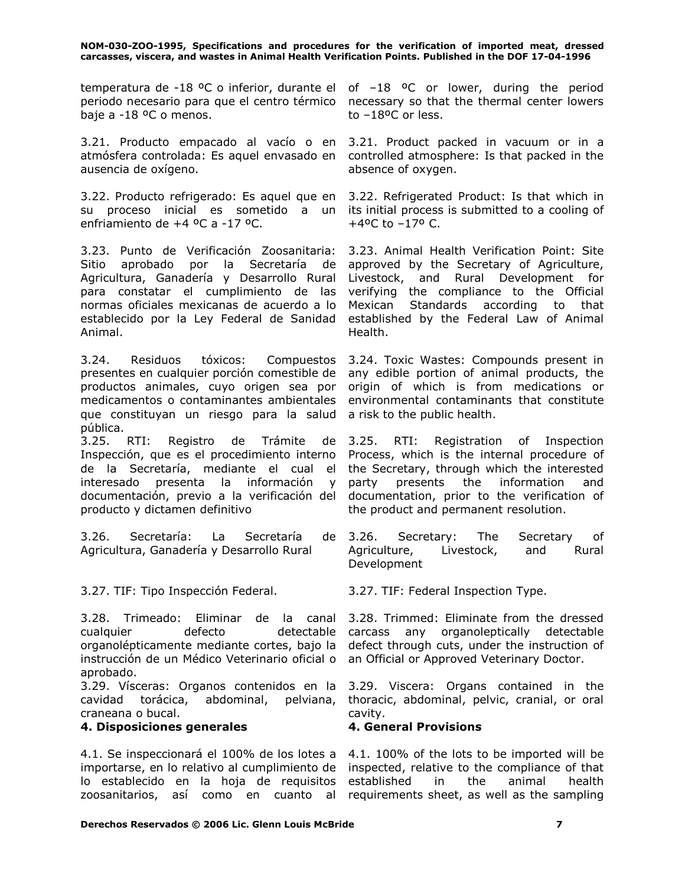temperatura de -18 <sup>o</sup>C o inferior, durante el of  $-18$  <sup>o</sup>C or lower, during the period periodo necesario para que el centro térmico necessary so that the thermal center lowers baje a -18 ºC o menos.

3.21. Producto empacado al vacío o en 3.21. Product packed in vacuum or in a atmósfera controlada: Es aquel envasado en ausencia de oxígeno.

3.22. Producto refrigerado: Es aquel que en 3.22. Refrigerated Product: Is that which in su proceso inicial es sometido a un its initial process is submitted to a cooling of enfriamiento de +4 ºC a -17 ºC.

3.23. Punto de Verificación Zoosanitaria: Sitio aprobado por la Secretaría de Agricultura, Ganadería y Desarrollo Rural para constatar el cumplimiento de las normas oficiales mexicanas de acuerdo a lo establecido por la Ley Federal de Sanidad Animal.

3.24. Residuos tóxicos: Compuestos presentes en cualquier porción comestible de productos animales, cuyo origen sea por medicamentos o contaminantes ambientales que constituyan un riesgo para la salud a risk to the public health. pública.

3.25. RTI: Registro de Trámite de Inspección, que es el procedimiento interno de la Secretaría, mediante el cual el interesado presenta la información y documentación, previo a la verificación del producto y dictamen definitivo

3.26. Secretaría: La Secretaría de Agricultura, Ganadería y Desarrollo Rural

3.27. TIF: Tipo Inspección Federal. 3.27. TIF: Federal Inspection Type.

3.28. Trimeado: Eliminar de la canal 3.28. Trimmed: Eliminate from the dressed cualquier defecto detectable carcass any organoleptically detectable organolépticamente mediante cortes, bajo la instrucción de un Médico Veterinario oficial o an Official or Approved Veterinary Doctor. aprobado.

3.29. Vísceras: Organos contenidos en la 3.29. Viscera: Organs contained in the cavidad torácica, abdominal, pelviana, craneana o bucal.

### **4. Disposiciones generales 4. General Provisions**

4.1. Se inspeccionará el 100% de los lotes a 4.1. 100% of the lots to be imported will be importarse, en lo relativo al cumplimiento de inspected, relative to the compliance of that lo establecido en la hoja de requisitos zoosanitarios, así como en cuanto al requirements sheet, as well as the sampling

to –18ºC or less.

controlled atmosphere: Is that packed in the absence of oxygen.

 $+4$ <sup>o</sup>C to  $-17$ <sup>o</sup> C.

3.23. Animal Health Verification Point: Site approved by the Secretary of Agriculture, Livestock, and Rural Development for verifying the compliance to the Official Mexican Standards according to that established by the Federal Law of Animal Health.

3.24. Toxic Wastes: Compounds present in any edible portion of animal products, the origin of which is from medications or environmental contaminants that constitute

Registration of Inspection Process, which is the internal procedure of the Secretary, through which the interested party presents the information and documentation, prior to the verification of the product and permanent resolution.

3.26. Secretary: The Secretary of Agriculture, Livestock, and Rural Development

defect through cuts, under the instruction of

thoracic, abdominal, pelvic, cranial, or oral cavity.

established in the animal health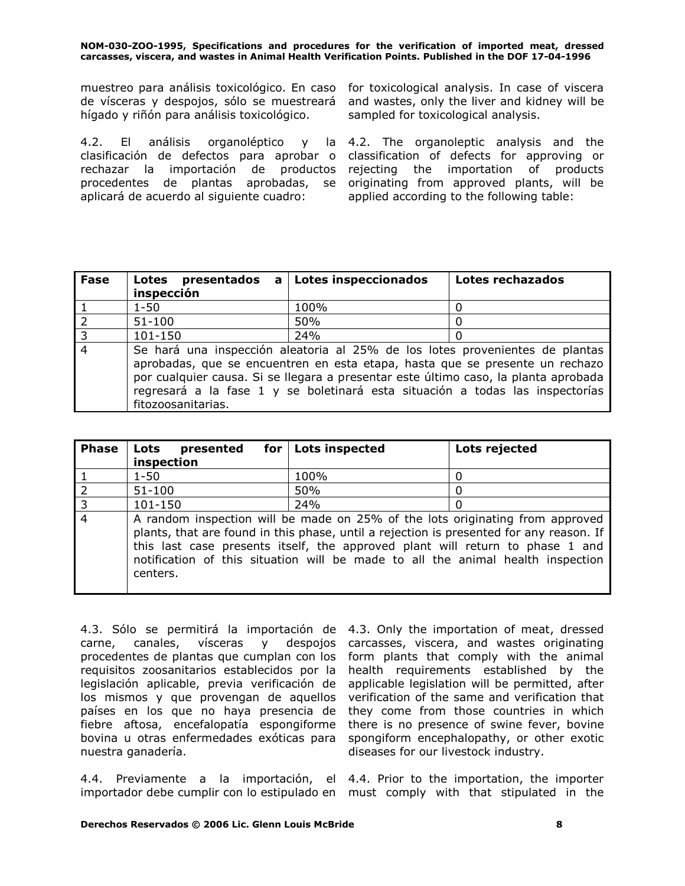muestreo para análisis toxicológico. En caso for toxicological analysis. In case of viscera de vísceras y despojos, sólo se muestreará hígado y riñón para análisis toxicológico.

4.2. El análisis organoléptico y clasificación de defectos para aprobar o rechazar la importación de productos aplicará de acuerdo al siguiente cuadro:

and wastes, only the liver and kidney will be sampled for toxicological analysis.

procedentes de plantas aprobadas, se originating from approved plants, will be 4.2. The organoleptic analysis and the classification of defects for approving or rejecting the importation of products applied according to the following table:

| <b>Fase</b>    | Lotes presentados<br>$\mathbf{a}$<br>inspección | <b>Lotes inspeccionados</b>                                                                                                                                                                                                                                                                                                          | Lotes rechazados |
|----------------|-------------------------------------------------|--------------------------------------------------------------------------------------------------------------------------------------------------------------------------------------------------------------------------------------------------------------------------------------------------------------------------------------|------------------|
|                | $1 - 50$                                        | 100%                                                                                                                                                                                                                                                                                                                                 |                  |
| $\overline{2}$ | $51 - 100$                                      | 50%                                                                                                                                                                                                                                                                                                                                  |                  |
| $\overline{3}$ | 101-150                                         | 24%                                                                                                                                                                                                                                                                                                                                  |                  |
| $\overline{4}$ | fitozoosanitarias.                              | Se hará una inspección aleatoria al 25% de los lotes provenientes de plantas<br>aprobadas, que se encuentren en esta etapa, hasta que se presente un rechazo<br>por cualquier causa. Si se llegara a presentar este último caso, la planta aprobada<br>regresará a la fase 1 y se boletinará esta situación a todas las inspectorías |                  |

| <b>Phase</b>   | for  <br>Lots<br>presented<br>inspection | <b>Lots inspected</b>                                                                                                                                                                                                                                                                                                                        | Lots rejected |
|----------------|------------------------------------------|----------------------------------------------------------------------------------------------------------------------------------------------------------------------------------------------------------------------------------------------------------------------------------------------------------------------------------------------|---------------|
|                | $1 - 50$                                 | 100%                                                                                                                                                                                                                                                                                                                                         |               |
| $\overline{2}$ | $51 - 100$                               | 50%                                                                                                                                                                                                                                                                                                                                          |               |
| l 3            | 101-150                                  | 24%                                                                                                                                                                                                                                                                                                                                          |               |
| $\overline{4}$ | centers.                                 | A random inspection will be made on 25% of the lots originating from approved<br>plants, that are found in this phase, until a rejection is presented for any reason. If<br>this last case presents itself, the approved plant will return to phase 1 and<br>notification of this situation will be made to all the animal health inspection |               |

4.3. Sólo se permitirá la importación de 4.3. Only the importation of meat, dressed carne, canales, vísceras y despojos procedentes de plantas que cumplan con los requisitos zoosanitarios establecidos por la legislación aplicable, previa verificación de los mismos y que provengan de aquellos países en los que no haya presencia de fiebre aftosa, encefalopatía espongiforme bovina u otras enfermedades exóticas para nuestra ganadería.

carcasses, viscera, and wastes originating form plants that comply with the animal health requirements established by the applicable legislation will be permitted, after verification of the same and verification that they come from those countries in which there is no presence of swine fever, bovine spongiform encephalopathy, or other exotic diseases for our livestock industry.

4.4. Previamente a la importación, el 4.4. Prior to the importation, the importer importador debe cumplir con lo estipulado en must comply with that stipulated in the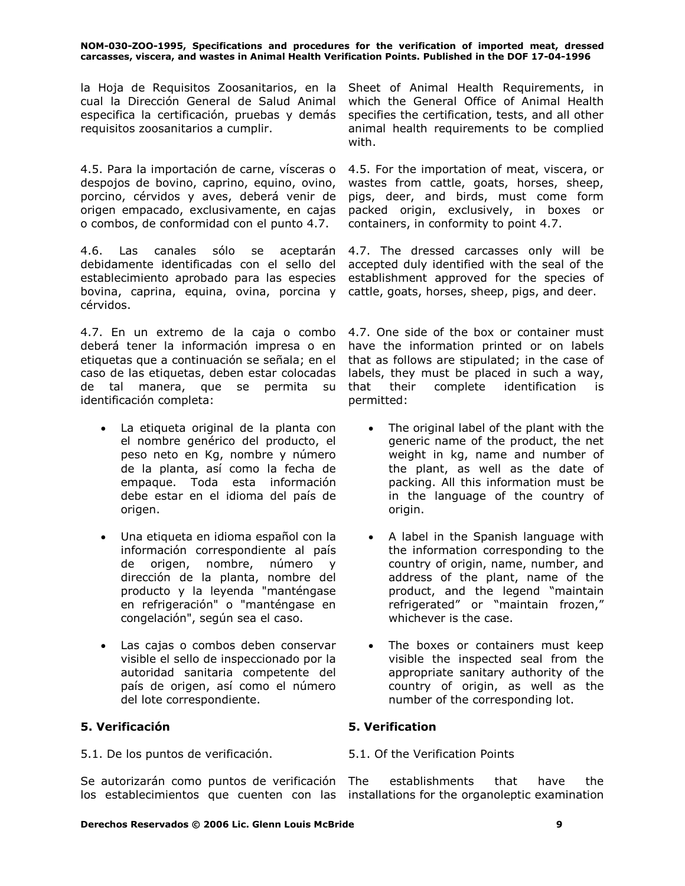la Hoja de Requisitos Zoosanitarios, en la Sheet of Animal Health Requirements, in cual la Dirección General de Salud Animal especifica la certificación, pruebas y demás requisitos zoosanitarios a cumplir.

4.5. Para la importación de carne, vísceras o despojos de bovino, caprino, equino, ovino, porcino, cérvidos y aves, deberá venir de origen empacado, exclusivamente, en cajas o combos, de conformidad con el punto 4.7.

4.6. Las canales sólo se aceptarán debidamente identificadas con el sello del establecimiento aprobado para las especies bovina, caprina, equina, ovina, porcina y cattle, goats, horses, sheep, pigs, and deer. cérvidos.

4.7. En un extremo de la caja o combo deberá tener la información impresa o en etiquetas que a continuación se señala; en el caso de las etiquetas, deben estar colocadas de tal manera, que se permita su identificación completa:

- La etiqueta original de la planta con el nombre genérico del producto, el peso neto en Kg, nombre y número de la planta, así como la fecha de empaque. Toda esta información debe estar en el idioma del país de origen.
- Una etiqueta en idioma español con la información correspondiente al país de origen, nombre, número y dirección de la planta, nombre del producto y la leyenda "manténgase en refrigeración" o "manténgase en congelación", según sea el caso.
- Las cajas o combos deben conservar visible el sello de inspeccionado por la autoridad sanitaria competente del país de origen, así como el número del lote correspondiente.

# **5. Verificación 5. Verification**

5.1. De los puntos de verificación. 5.1. Of the Verification Points

Se autorizarán como puntos de verificación The los establecimientos que cuenten con las installations for the organoleptic examination

which the General Office of Animal Health specifies the certification, tests, and all other animal health requirements to be complied with.

4.5. For the importation of meat, viscera, or wastes from cattle, goats, horses, sheep, pigs, deer, and birds, must come form packed origin, exclusively, in boxes or containers, in conformity to point 4.7.

4.7. The dressed carcasses only will be accepted duly identified with the seal of the establishment approved for the species of

4.7. One side of the box or container must have the information printed or on labels that as follows are stipulated; in the case of labels, they must be placed in such a way, that their complete identification is permitted:

- The original label of the plant with the generic name of the product, the net weight in kg, name and number of the plant, as well as the date of packing. All this information must be in the language of the country of origin.
- A label in the Spanish language with the information corresponding to the country of origin, name, number, and address of the plant, name of the product, and the legend "maintain refrigerated" or "maintain frozen," whichever is the case.
- The boxes or containers must keep visible the inspected seal from the appropriate sanitary authority of the country of origin, as well as the number of the corresponding lot.

establishments that have the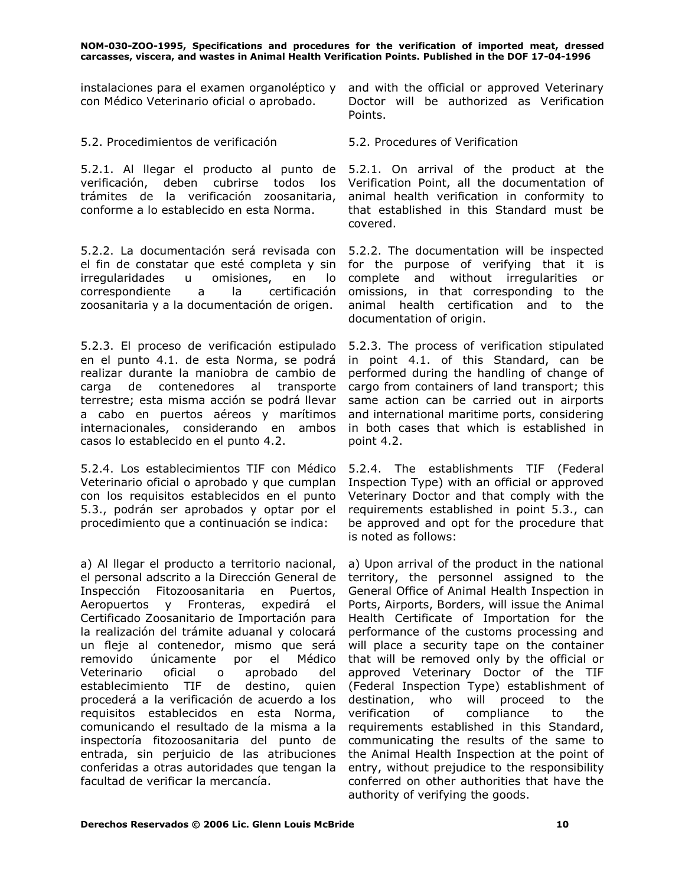con Médico Veterinario oficial o aprobado.

### 5.2. Procedimientos de verificación 5.2. Procedures of Verification

5.2.1. Al llegar el producto al punto de verificación, deben cubrirse todos los trámites de la verificación zoosanitaria, conforme a lo establecido en esta Norma.

5.2.2. La documentación será revisada con el fin de constatar que esté completa y sin irregularidades u omisiones, en lo correspondiente a la certificación zoosanitaria y a la documentación de origen.

5.2.3. El proceso de verificación estipulado en el punto 4.1. de esta Norma, se podrá realizar durante la maniobra de cambio de carga de contenedores al transporte terrestre; esta misma acción se podrá llevar a cabo en puertos aéreos y marítimos internacionales, considerando en ambos casos lo establecido en el punto 4.2.

5.2.4. Los establecimientos TIF con Médico Veterinario oficial o aprobado y que cumplan con los requisitos establecidos en el punto 5.3., podrán ser aprobados y optar por el procedimiento que a continuación se indica:

a) Al llegar el producto a territorio nacional, el personal adscrito a la Dirección General de Inspección Fitozoosanitaria en Puertos, Aeropuertos y Fronteras, expedirá el Certificado Zoosanitario de Importación para la realización del trámite aduanal y colocará un fleje al contenedor, mismo que será removido únicamente por el Médico Veterinario oficial o aprobado del establecimiento TIF de destino, quien procederá a la verificación de acuerdo a los requisitos establecidos en esta Norma, comunicando el resultado de la misma a la inspectoría fitozoosanitaria del punto de entrada, sin perjuicio de las atribuciones conferidas a otras autoridades que tengan la facultad de verificar la mercancía.

instalaciones para el examen organoléptico y and with the official or approved Veterinary Doctor will be authorized as Verification Points.

5.2.1. On arrival of the product at the Verification Point, all the documentation of animal health verification in conformity to that established in this Standard must be covered.

5.2.2. The documentation will be inspected for the purpose of verifying that it is complete and without irregularities or omissions, in that corresponding to the animal health certification and to the documentation of origin.

5.2.3. The process of verification stipulated in point 4.1. of this Standard, can be performed during the handling of change of cargo from containers of land transport; this same action can be carried out in airports and international maritime ports, considering in both cases that which is established in point 4.2.

5.2.4. The establishments TIF (Federal Inspection Type) with an official or approved Veterinary Doctor and that comply with the requirements established in point 5.3., can be approved and opt for the procedure that is noted as follows:

a) Upon arrival of the product in the national territory, the personnel assigned to the General Office of Animal Health Inspection in Ports, Airports, Borders, will issue the Animal Health Certificate of Importation for the performance of the customs processing and will place a security tape on the container that will be removed only by the official or approved Veterinary Doctor of the TIF (Federal Inspection Type) establishment of destination, who will proceed to the verification of compliance to the requirements established in this Standard, communicating the results of the same to the Animal Health Inspection at the point of entry, without prejudice to the responsibility conferred on other authorities that have the authority of verifying the goods.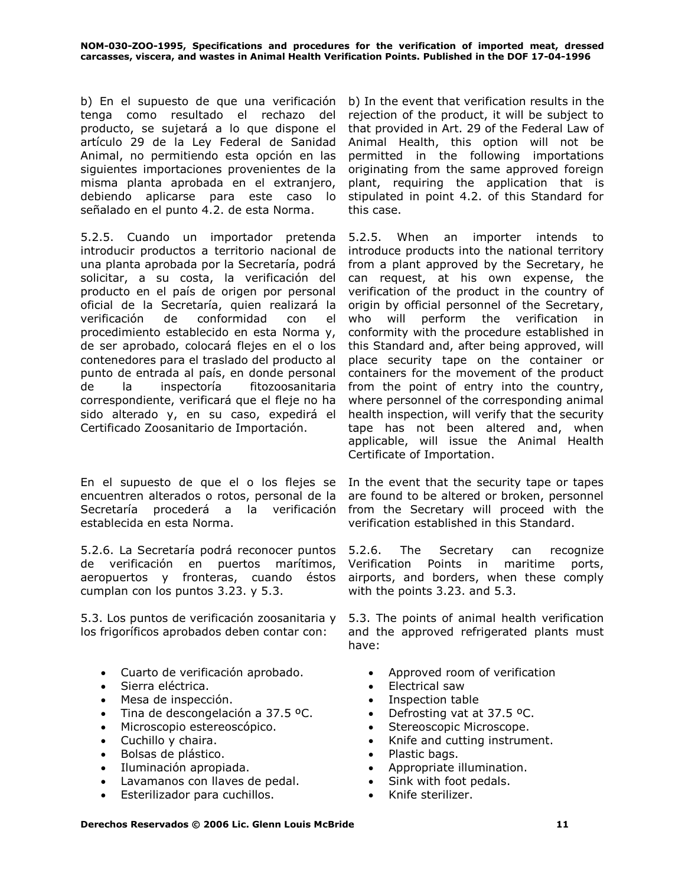b) En el supuesto de que una verificación tenga como resultado el rechazo del producto, se sujetará a lo que dispone el artículo 29 de la Ley Federal de Sanidad Animal, no permitiendo esta opción en las siguientes importaciones provenientes de la misma planta aprobada en el extranjero, debiendo aplicarse para este caso lo señalado en el punto 4.2. de esta Norma.

5.2.5. Cuando un importador pretenda introducir productos a territorio nacional de una planta aprobada por la Secretaría, podrá solicitar, a su costa, la verificación del producto en el país de origen por personal oficial de la Secretaría, quien realizará la verificación de conformidad con el procedimiento establecido en esta Norma y, de ser aprobado, colocará flejes en el o los contenedores para el traslado del producto al punto de entrada al país, en donde personal de la inspectoría fitozoosanitaria correspondiente, verificará que el fleje no ha sido alterado y, en su caso, expedirá el Certificado Zoosanitario de Importación.

En el supuesto de que el o los flejes se In the event that the security tape or tapes encuentren alterados o rotos, personal de la Secretaría procederá a la verificación establecida en esta Norma.

5.2.6. La Secretaría podrá reconocer puntos de verificación en puertos marítimos, aeropuertos y fronteras, cuando éstos cumplan con los puntos 3.23. y 5.3.

5.3. Los puntos de verificación zoosanitaria y los frigoríficos aprobados deben contar con:

- Cuarto de verificación aprobado. • Approved room of verification
- Sierra eléctrica. Electrical saw
- Mesa de inspección.  $\bullet$  Inspection table
- Tina de descongelación a 37.5 °C.  $\bullet$  Defrosting vat at 37.5 °C.
- Microscopio estereoscópico. Stereoscopic Microscope.
- 
- Bolsas de plástico. Plastic bags.
- 
- Lavamanos con llaves de pedal. Sink with foot pedals.
- Esterilizador para cuchillos. Knife sterilizer.

b) In the event that verification results in the rejection of the product, it will be subject to that provided in Art. 29 of the Federal Law of Animal Health, this option will not be permitted in the following importations originating from the same approved foreign plant, requiring the application that is stipulated in point 4.2. of this Standard for this case.

5.2.5. When an importer intends to introduce products into the national territory from a plant approved by the Secretary, he can request, at his own expense, the verification of the product in the country of origin by official personnel of the Secretary, who will perform the verification in conformity with the procedure established in this Standard and, after being approved, will place security tape on the container or containers for the movement of the product from the point of entry into the country, where personnel of the corresponding animal health inspection, will verify that the security tape has not been altered and, when applicable, will issue the Animal Health Certificate of Importation.

are found to be altered or broken, personnel from the Secretary will proceed with the verification established in this Standard.

The Secretary can recognize Verification Points in maritime ports, airports, and borders, when these comply with the points 3.23. and 5.3.

5.3. The points of animal health verification and the approved refrigerated plants must have:

- 
- 
- 
- 
- 
- Cuchillo y chaira. **•** Knife and cutting instrument.
	-
- Iluminación apropiada. Appropriate illumination.
	-
	-

### **Derechos Reservados © 2006 Lic. Glenn Louis McBride 11**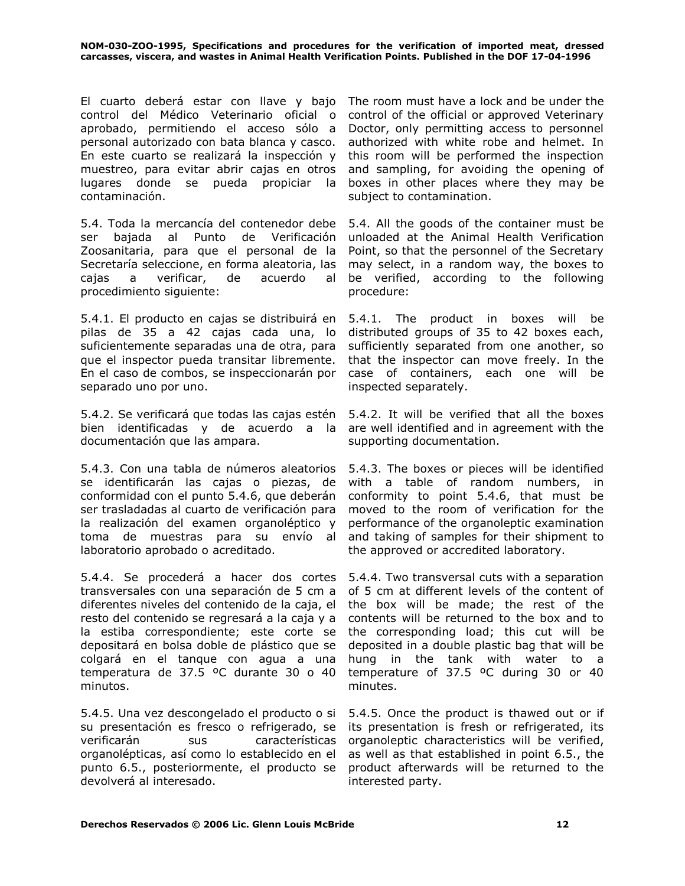El cuarto deberá estar con llave y bajo control del Médico Veterinario oficial o aprobado, permitiendo el acceso sólo a personal autorizado con bata blanca y casco. En este cuarto se realizará la inspección y muestreo, para evitar abrir cajas en otros lugares donde se pueda propiciar la contaminación.

5.4. Toda la mercancía del contenedor debe ser bajada al Punto de Verificación Zoosanitaria, para que el personal de la Secretaría seleccione, en forma aleatoria, las cajas a verificar, de acuerdo al procedimiento siguiente:

5.4.1. El producto en cajas se distribuirá en pilas de 35 a 42 cajas cada una, lo suficientemente separadas una de otra, para que el inspector pueda transitar libremente. En el caso de combos, se inspeccionarán por separado uno por uno.

5.4.2. Se verificará que todas las cajas estén bien identificadas y de acuerdo a la documentación que las ampara.

5.4.3. Con una tabla de números aleatorios 5.4.3. The boxes or pieces will be identified se identificarán las cajas o piezas, de conformidad con el punto 5.4.6, que deberán ser trasladadas al cuarto de verificación para la realización del examen organoléptico y toma de muestras para su envío al laboratorio aprobado o acreditado.

5.4.4. Se procederá a hacer dos cortes transversales con una separación de 5 cm a diferentes niveles del contenido de la caja, el resto del contenido se regresará a la caja y a la estiba correspondiente; este corte se depositará en bolsa doble de plástico que se colgará en el tanque con agua a una temperatura de 37.5 ºC durante 30 o 40 minutos.

5.4.5. Una vez descongelado el producto o si su presentación es fresco o refrigerado, se verificarán sus características organolépticas, así como lo establecido en el punto 6.5., posteriormente, el producto se devolverá al interesado.

The room must have a lock and be under the control of the official or approved Veterinary Doctor, only permitting access to personnel authorized with white robe and helmet. In this room will be performed the inspection and sampling, for avoiding the opening of boxes in other places where they may be subject to contamination.

5.4. All the goods of the container must be unloaded at the Animal Health Verification Point, so that the personnel of the Secretary may select, in a random way, the boxes to be verified, according to the following procedure:

5.4.1. The product in boxes will be distributed groups of 35 to 42 boxes each, sufficiently separated from one another, so that the inspector can move freely. In the case of containers, each one will be inspected separately.

5.4.2. It will be verified that all the boxes are well identified and in agreement with the supporting documentation.

with a table of random numbers, in conformity to point 5.4.6, that must be moved to the room of verification for the performance of the organoleptic examination and taking of samples for their shipment to the approved or accredited laboratory.

5.4.4. Two transversal cuts with a separation of 5 cm at different levels of the content of the box will be made; the rest of the contents will be returned to the box and to the corresponding load; this cut will be deposited in a double plastic bag that will be hung in the tank with water to a temperature of 37.5 ºC during 30 or 40 minutes.

5.4.5. Once the product is thawed out or if its presentation is fresh or refrigerated, its organoleptic characteristics will be verified, as well as that established in point 6.5., the product afterwards will be returned to the interested party.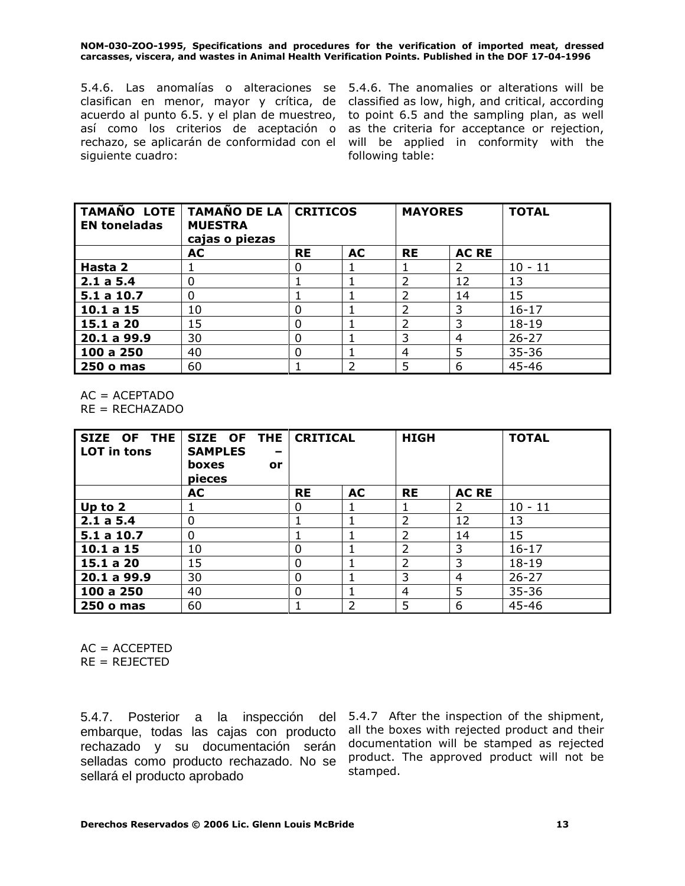5.4.6. Las anomalías o alteraciones se 5.4.6. The anomalies or alterations will be clasifican en menor, mayor y crítica, de classified as low, high, and critical, according acuerdo al punto 6.5. y el plan de muestreo, así como los criterios de aceptación o as the criteria for acceptance or rejection, rechazo, se aplicarán de conformidad con el will be applied in conformity with the siguiente cuadro:

to point 6.5 and the sampling plan, as well following table:

| <b>EN toneladas</b> | TAMAÑO LOTE   TAMAÑO DE LA   CRITICOS<br><b>MUESTRA</b><br>cajas o piezas |           |           | <b>MAYORES</b> |              | <b>TOTAL</b> |
|---------------------|---------------------------------------------------------------------------|-----------|-----------|----------------|--------------|--------------|
|                     | AC                                                                        | <b>RE</b> | <b>AC</b> | <b>RE</b>      | <b>AC RE</b> |              |
| Hasta 2             |                                                                           | 0         |           |                |              | $10 - 11$    |
| 2.1 a 5.4           | 0                                                                         |           |           | 2              | 12           | 13           |
| 5.1 a 10.7          | 0                                                                         |           |           | 2              | 14           | 15           |
| 10.1 a 15           | 10                                                                        | 0         |           | $\mathcal{P}$  | 3            | $16 - 17$    |
| 15.1 a 20           | 15                                                                        |           |           | 2              | 3            | $18 - 19$    |
| 20.1 a 99.9         | 30                                                                        |           |           | 3              | 4            | $26 - 27$    |
| 100 a 250           | 40                                                                        | 0         |           | 4              | 5            | $35 - 36$    |
| <b>250 o mas</b>    | 60                                                                        |           | フ         | 5              | 6            | 45-46        |

 $AC = ACEPTADO$ 

RE = RECHAZADO

| SIZE OF THE<br><b>LOT</b> in tons | SIZE OF THE<br><b>SAMPLES</b><br>-<br>boxes<br>or<br>pieces | <b>CRITICAL</b><br><b>HIGH</b> |           |                | <b>TOTAL</b> |           |
|-----------------------------------|-------------------------------------------------------------|--------------------------------|-----------|----------------|--------------|-----------|
|                                   | AC                                                          | <b>RE</b>                      | <b>AC</b> | <b>RE</b>      | <b>AC RE</b> |           |
| Up to 2                           |                                                             | 0                              |           |                | 2            | $10 - 11$ |
| 2.1a5.4                           | 0                                                           |                                |           | $\overline{2}$ | 12           | 13        |
| 5.1 a 10.7                        | 0                                                           |                                |           | 2              | 14           | 15        |
| 10.1 a 15                         | 10                                                          | $\Omega$                       |           | $\overline{2}$ | 3            | $16 - 17$ |
| 15.1 a 20                         | 15                                                          | $\Omega$                       |           | 2              | 3            | $18 - 19$ |
| 20.1 a 99.9                       | 30                                                          | 0                              |           | 3              | 4            | $26 - 27$ |
| 100 a 250                         | 40                                                          | 0                              |           | 4              | 5            | $35 - 36$ |
| <b>250 o mas</b>                  | 60                                                          |                                | 2         | 5              | 6            | 45-46     |

 $AC = ACCEPTED$ 

 $RE = REJECTED$ 

5.4.7. Posterior a la inspección del 5.4.7 After the inspection of the shipment, embarque, todas las cajas con producto rechazado y su documentación serán selladas como producto rechazado. No se sellará el producto aprobado

all the boxes with rejected product and their documentation will be stamped as rejected product. The approved product will not be stamped.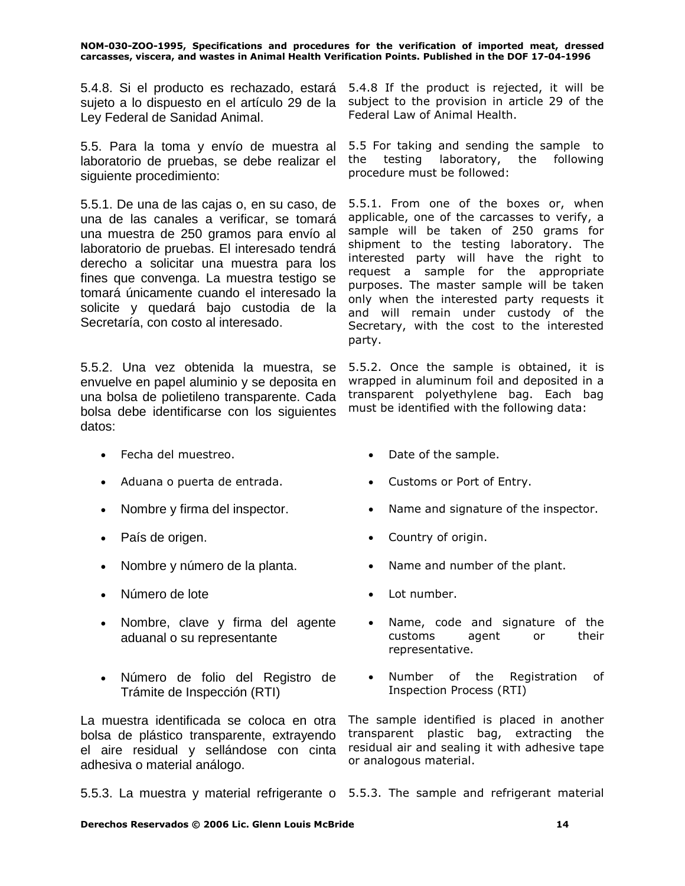5.4.8. Si el producto es rechazado, estará 5.4.8 If the product is rejected, it will be sujeto a lo dispuesto en el artículo 29 de la subject to the provision in article 29 of the Ley Federal de Sanidad Animal.

5.5. Para la toma y envío de muestra al laboratorio de pruebas, se debe realizar el siguiente procedimiento:

5.5.1. De una de las cajas o, en su caso, de una de las canales a verificar, se tomará una muestra de 250 gramos para envío al laboratorio de pruebas. El interesado tendrá derecho a solicitar una muestra para los fines que convenga. La muestra testigo se tomará únicamente cuando el interesado la solicite y quedará bajo custodia de la Secretaría, con costo al interesado.

5.5.2. Una vez obtenida la muestra, se envuelve en papel aluminio y se deposita en una bolsa de polietileno transparente. Cada bolsa debe identificarse con los siguientes datos:

- Fecha del muestreo. Date of the sample.
- Aduana o puerta de entrada. Customs or Port of Entry.
- 
- 
- Nombre y número de la planta. Name and number of the plant.
- Número de lote Lot number.
- Nombre, clave y firma del agente aduanal o su representante
- Número de folio del Registro de Trámite de Inspección (RTI)

La muestra identificada se coloca en otra bolsa de plástico transparente, extrayendo el aire residual y sellándose con cinta adhesiva o material análogo.

Federal Law of Animal Health.

5.5 For taking and sending the sample to the testing laboratory, the following procedure must be followed:

5.5.1. From one of the boxes or, when applicable, one of the carcasses to verify, a sample will be taken of 250 grams for shipment to the testing laboratory. The interested party will have the right to request a sample for the appropriate purposes. The master sample will be taken only when the interested party requests it and will remain under custody of the Secretary, with the cost to the interested party.

5.5.2. Once the sample is obtained, it is wrapped in aluminum foil and deposited in a transparent polyethylene bag. Each bag must be identified with the following data:

- 
- 
- Nombre y firma del inspector. Name and signature of the inspector.
- País de origen. **•** Country of origin.
	-
	-
	- Name, code and signature of the customs agent or their representative.
	- Number of the Registration of Inspection Process (RTI)

The sample identified is placed in another transparent plastic bag, extracting the residual air and sealing it with adhesive tape or analogous material.

5.5.3. La muestra y material refrigerante o 5.5.3. The sample and refrigerant material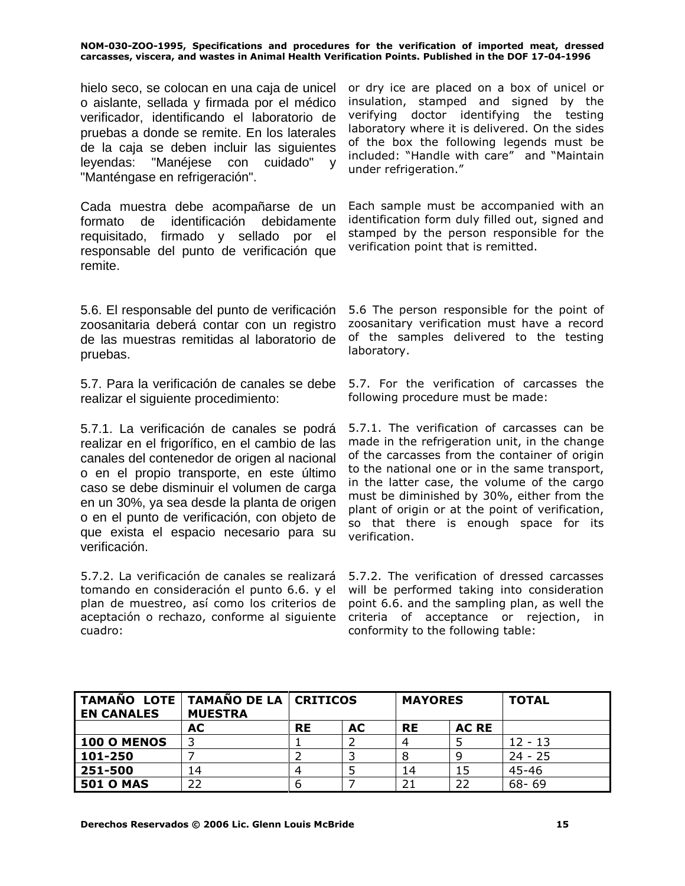hielo seco, se colocan en una caja de unicel o aislante, sellada y firmada por el médico verificador, identificando el laboratorio de pruebas a donde se remite. En los laterales de la caja se deben incluir las siguientes leyendas: "Manéjese con cuidado" y "Manténgase en refrigeración".

Cada muestra debe acompañarse de un formato de identificación debidamente requisitado, firmado y sellado por el responsable del punto de verificación que remite.

5.6. El responsable del punto de verificación zoosanitaria deberá contar con un registro de las muestras remitidas al laboratorio de pruebas.

5.7. Para la verificación de canales se debe realizar el siguiente procedimiento:

5.7.1. La verificación de canales se podrá realizar en el frigorífico, en el cambio de las canales del contenedor de origen al nacional o en el propio transporte, en este último caso se debe disminuir el volumen de carga en un 30%, ya sea desde la planta de origen o en el punto de verificación, con objeto de que exista el espacio necesario para su verificación.

5.7.2. La verificación de canales se realizará tomando en consideración el punto 6.6. y el plan de muestreo, así como los criterios de aceptación o rechazo, conforme al siguiente cuadro:

or dry ice are placed on a box of unicel or insulation, stamped and signed by the verifying doctor identifying the testing laboratory where it is delivered. On the sides of the box the following legends must be included: "Handle with care" and "Maintain under refrigeration."

Each sample must be accompanied with an identification form duly filled out, signed and stamped by the person responsible for the verification point that is remitted.

5.6 The person responsible for the point of zoosanitary verification must have a record of the samples delivered to the testing laboratory.

5.7. For the verification of carcasses the following procedure must be made:

5.7.1. The verification of carcasses can be made in the refrigeration unit, in the change of the carcasses from the container of origin to the national one or in the same transport, in the latter case, the volume of the cargo must be diminished by 30%, either from the plant of origin or at the point of verification, so that there is enough space for its verification.

5.7.2. The verification of dressed carcasses will be performed taking into consideration point 6.6. and the sampling plan, as well the criteria of acceptance or rejection, in conformity to the following table:

| TAMAÑO LOTE TAMAÑO DE LA CRITICOS<br><b>EN CANALES</b> | <b>MUESTRA</b> |           |    | <b>MAYORES</b> |              | <b>TOTAL</b> |
|--------------------------------------------------------|----------------|-----------|----|----------------|--------------|--------------|
|                                                        | <b>AC</b>      | <b>RE</b> | AC | <b>RE</b>      | <b>AC RE</b> |              |
| 100 O MENOS                                            | 3              |           |    |                |              | $12 - 13$    |
| 101-250                                                |                |           |    |                |              | $24 - 25$    |
| 251-500                                                | 14             |           |    | 14             | 15           | 45-46        |
| <b>501 O MAS</b>                                       | 22             |           |    | 21             | 22           | $68 - 69$    |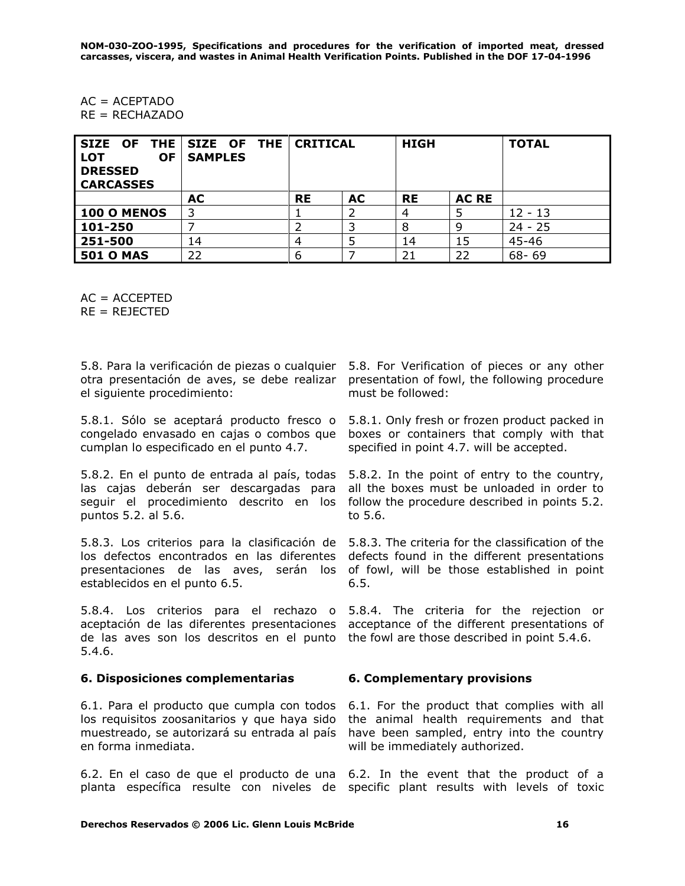AC = ACEPTADO  $RE = RECHAZADO$ 

| <b>OF</b><br><b>LOT</b><br><b>DRESSED</b><br><b>CARCASSES</b> | SIZE OF THE SIZE OF THE<br><b>SAMPLES</b> | <b>CRITICAL</b> |           | <b>HIGH</b> |              | <b>TOTAL</b> |
|---------------------------------------------------------------|-------------------------------------------|-----------------|-----------|-------------|--------------|--------------|
|                                                               | AC                                        | <b>RE</b>       | <b>AC</b> | <b>RE</b>   | <b>AC RE</b> |              |
| <b>100 O MENOS</b>                                            | 3                                         |                 |           |             |              | $12 - 13$    |
| 101-250                                                       |                                           |                 | 3         | 8           | 9            | $24 - 25$    |
| 251-500                                                       | 14                                        |                 |           | 14          | 15           | 45-46        |
| <b>501 O MAS</b>                                              | 22                                        | o               |           | 21          | 22           | $68 - 69$    |

 $AC = ACCEPTED$ 

 $RE = REJECTED$ 

5.8. Para la verificación de piezas o cualquier 5.8. For Verification of pieces or any other otra presentación de aves, se debe realizar presentation of fowl, the following procedure el siguiente procedimiento:

5.8.1. Sólo se aceptará producto fresco o 5.8.1. Only fresh or frozen product packed in congelado envasado en cajas o combos que cumplan lo especificado en el punto 4.7.

5.8.2. En el punto de entrada al país, todas las cajas deberán ser descargadas para seguir el procedimiento descrito en los follow the procedure described in points 5.2. puntos 5.2. al 5.6.

5.8.3. Los criterios para la clasificación de 5.8.3. The criteria for the classification of the los defectos encontrados en las diferentes presentaciones de las aves, serán los of fowl, will be those established in point establecidos en el punto 6.5.

5.8.4. Los criterios para el rechazo o 5.8.4. The criteria for the rejection or aceptación de las diferentes presentaciones acceptance of the different presentations of de las aves son los descritos en el punto the fowl are those described in point 5.4.6. 5.4.6.

### **6. Disposiciones complementarias 6. Complementary provisions**

6.1. Para el producto que cumpla con todos los requisitos zoosanitarios y que haya sido muestreado, se autorizará su entrada al país en forma inmediata.

6.2. En el caso de que el producto de una 6.2. In the event that the product of a planta específica resulte con niveles de specific plant results with levels of toxic

must be followed:

boxes or containers that comply with that specified in point 4.7. will be accepted.

5.8.2. In the point of entry to the country, all the boxes must be unloaded in order to to 5.6.

defects found in the different presentations 6.5.

6.1. For the product that complies with all the animal health requirements and that have been sampled, entry into the country will be immediately authorized.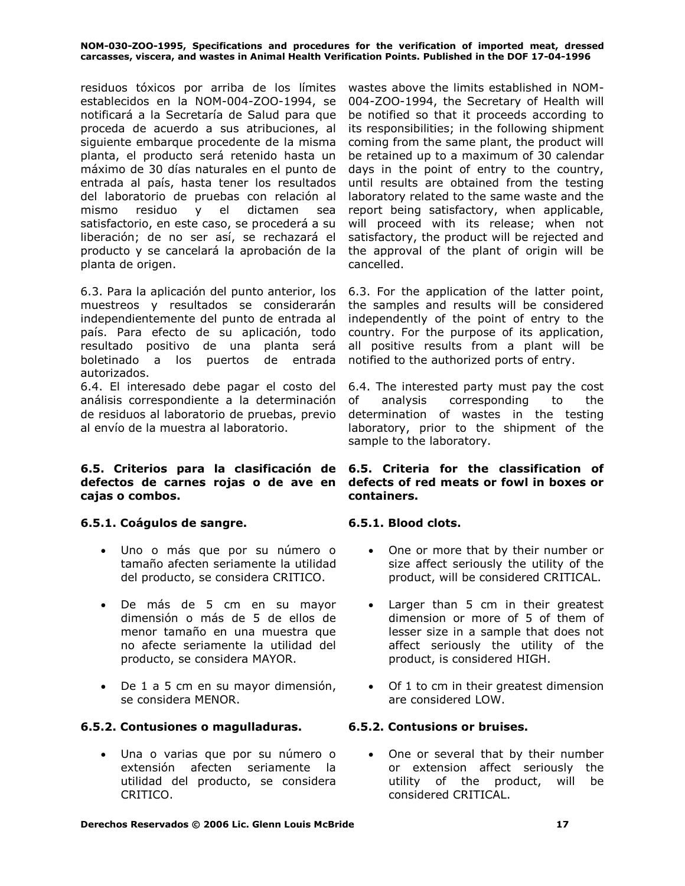residuos tóxicos por arriba de los límites establecidos en la NOM-004-ZOO-1994, se notificará a la Secretaría de Salud para que proceda de acuerdo a sus atribuciones, al siguiente embarque procedente de la misma planta, el producto será retenido hasta un máximo de 30 días naturales en el punto de entrada al país, hasta tener los resultados del laboratorio de pruebas con relación al mismo residuo y el dictamen sea satisfactorio, en este caso, se procederá a su liberación; de no ser así, se rechazará el producto y se cancelará la aprobación de la planta de origen.

6.3. Para la aplicación del punto anterior, los muestreos y resultados se considerarán independientemente del punto de entrada al país. Para efecto de su aplicación, todo resultado positivo de una planta será boletinado a los puertos de entrada autorizados.

6.4. El interesado debe pagar el costo del análisis correspondiente a la determinación de residuos al laboratorio de pruebas, previo al envío de la muestra al laboratorio.

# **6.5. Criterios para la clasificación de 6.5. Criteria for the classification of defectos de carnes rojas o de ave en cajas o combos.**

### **6.5.1. Coágulos de sangre. 6.5.1. Blood clots.**

- Uno o más que por su número o tamaño afecten seriamente la utilidad del producto, se considera CRITICO.
- De más de 5 cm en su mayor dimensión o más de 5 de ellos de menor tamaño en una muestra que no afecte seriamente la utilidad del producto, se considera MAYOR.
- De 1 a 5 cm en su mayor dimensión, se considera MENOR.

# **6.5.2. Contusiones o magulladuras. 6.5.2. Contusions or bruises.**

• Una o varias que por su número o extensión afecten seriamente la utilidad del producto, se considera CRITICO.

wastes above the limits established in NOM-004-ZOO-1994, the Secretary of Health will be notified so that it proceeds according to its responsibilities; in the following shipment coming from the same plant, the product will be retained up to a maximum of 30 calendar days in the point of entry to the country, until results are obtained from the testing laboratory related to the same waste and the report being satisfactory, when applicable, will proceed with its release; when not satisfactory, the product will be rejected and the approval of the plant of origin will be cancelled.

6.3. For the application of the latter point, the samples and results will be considered independently of the point of entry to the country. For the purpose of its application, all positive results from a plant will be notified to the authorized ports of entry.

6.4. The interested party must pay the cost of analysis corresponding to the determination of wastes in the testing laboratory, prior to the shipment of the sample to the laboratory.

# **defects of red meats or fowl in boxes or containers.**

- One or more that by their number or size affect seriously the utility of the product, will be considered CRITICAL.
- Larger than 5 cm in their greatest dimension or more of 5 of them of lesser size in a sample that does not affect seriously the utility of the product, is considered HIGH.
- Of 1 to cm in their greatest dimension are considered LOW.

• One or several that by their number or extension affect seriously the utility of the product, will be considered CRITICAL.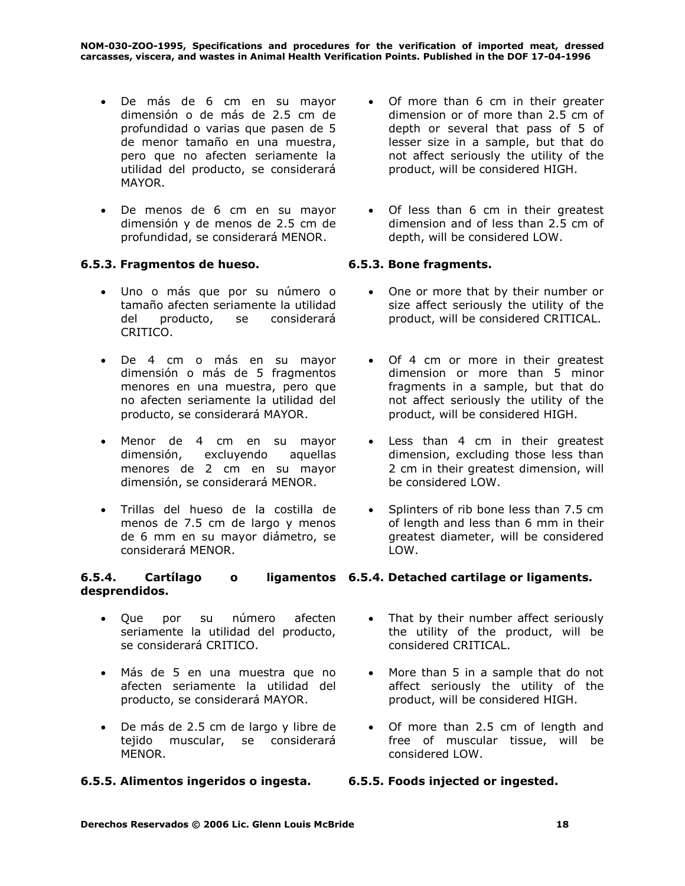- De más de 6 cm en su mayor dimensión o de más de 2.5 cm de profundidad o varias que pasen de 5 de menor tamaño en una muestra, pero que no afecten seriamente la utilidad del producto, se considerará MAYOR.
- De menos de 6 cm en su mayor dimensión y de menos de 2.5 cm de profundidad, se considerará MENOR.

# **6.5.3. Fragmentos de hueso. 6.5.3. Bone fragments.**

- Uno o más que por su número o tamaño afecten seriamente la utilidad del producto, se considerará CRITICO.
- De 4 cm o más en su mayor dimensión o más de 5 fragmentos menores en una muestra, pero que no afecten seriamente la utilidad del producto, se considerará MAYOR.
- Menor de 4 cm en su mayor dimensión, excluyendo aquellas menores de 2 cm en su mayor dimensión, se considerará MENOR.
- Trillas del hueso de la costilla de menos de 7.5 cm de largo y menos de 6 mm en su mayor diámetro, se considerará MENOR.

### **6.5.4. Cartílago o ligamentos 6.5.4. Detached cartilage or ligaments. desprendidos.**

- Que por su número afecten seriamente la utilidad del producto, se considerará CRITICO.
- Más de 5 en una muestra que no afecten seriamente la utilidad del producto, se considerará MAYOR.
- De más de 2.5 cm de largo y libre de tejido muscular, se considerará MENOR.

# **6.5.5. Alimentos ingeridos o ingesta. 6.5.5. Foods injected or ingested.**

- Of more than 6 cm in their greater dimension or of more than 2.5 cm of depth or several that pass of 5 of lesser size in a sample, but that do not affect seriously the utility of the product, will be considered HIGH.
- Of less than 6 cm in their greatest dimension and of less than 2.5 cm of depth, will be considered LOW.

- One or more that by their number or size affect seriously the utility of the product, will be considered CRITICAL.
- Of 4 cm or more in their greatest dimension or more than 5 minor fragments in a sample, but that do not affect seriously the utility of the product, will be considered HIGH.
- Less than 4 cm in their greatest dimension, excluding those less than 2 cm in their greatest dimension, will be considered LOW.
- Splinters of rib bone less than 7.5 cm of length and less than 6 mm in their greatest diameter, will be considered LOW.
- That by their number affect seriously the utility of the product, will be considered CRITICAL.
- More than 5 in a sample that do not affect seriously the utility of the product, will be considered HIGH.
- Of more than 2.5 cm of length and free of muscular tissue, will be considered LOW.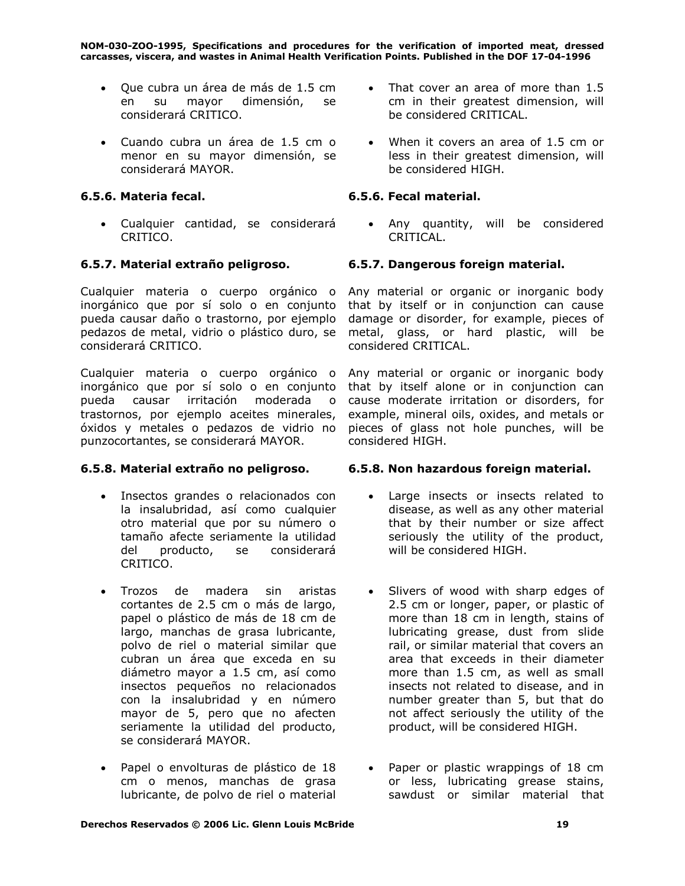- Que cubra un área de más de 1.5 cm en su mayor dimensión, se considerará CRITICO.
- Cuando cubra un área de 1.5 cm o menor en su mayor dimensión, se considerará MAYOR.

• Cualquier cantidad, se considerará CRITICO.

Cualquier materia o cuerpo orgánico o inorgánico que por sí solo o en conjunto pueda causar daño o trastorno, por ejemplo pedazos de metal, vidrio o plástico duro, se considerará CRITICO.

Cualquier materia o cuerpo orgánico o Any material or organic or inorganic body inorgánico que por sí solo o en conjunto pueda causar irritación moderada o trastornos, por ejemplo aceites minerales, óxidos y metales o pedazos de vidrio no punzocortantes, se considerará MAYOR.

- Insectos grandes o relacionados con la insalubridad, así como cualquier otro material que por su número o tamaño afecte seriamente la utilidad del producto, se considerará CRITICO.
- Trozos de madera sin aristas cortantes de 2.5 cm o más de largo, papel o plástico de más de 18 cm de largo, manchas de grasa lubricante, polvo de riel o material similar que cubran un área que exceda en su diámetro mayor a 1.5 cm, así como insectos pequeños no relacionados con la insalubridad y en número mayor de 5, pero que no afecten seriamente la utilidad del producto, se considerará MAYOR.
- Papel o envolturas de plástico de 18 cm o menos, manchas de grasa lubricante, de polvo de riel o material
- That cover an area of more than 1.5 cm in their greatest dimension, will be considered CRITICAL.
- When it covers an area of 1.5 cm or less in their greatest dimension, will be considered HIGH.

# **6.5.6. Materia fecal. 6.5.6. Fecal material.**

• Any quantity, will be considered CRITICAL.

# **6.5.7. Material extraño peligroso. 6.5.7. Dangerous foreign material.**

Any material or organic or inorganic body that by itself or in conjunction can cause damage or disorder, for example, pieces of metal, glass, or hard plastic, will be considered CRITICAL.

that by itself alone or in conjunction can cause moderate irritation or disorders, for example, mineral oils, oxides, and metals or pieces of glass not hole punches, will be considered HIGH.

### **6.5.8. Material extraño no peligroso. 6.5.8. Non hazardous foreign material.**

- Large insects or insects related to disease, as well as any other material that by their number or size affect seriously the utility of the product, will be considered HIGH.
- Slivers of wood with sharp edges of 2.5 cm or longer, paper, or plastic of more than 18 cm in length, stains of lubricating grease, dust from slide rail, or similar material that covers an area that exceeds in their diameter more than 1.5 cm, as well as small insects not related to disease, and in number greater than 5, but that do not affect seriously the utility of the product, will be considered HIGH.
- Paper or plastic wrappings of 18 cm or less, lubricating grease stains, sawdust or similar material that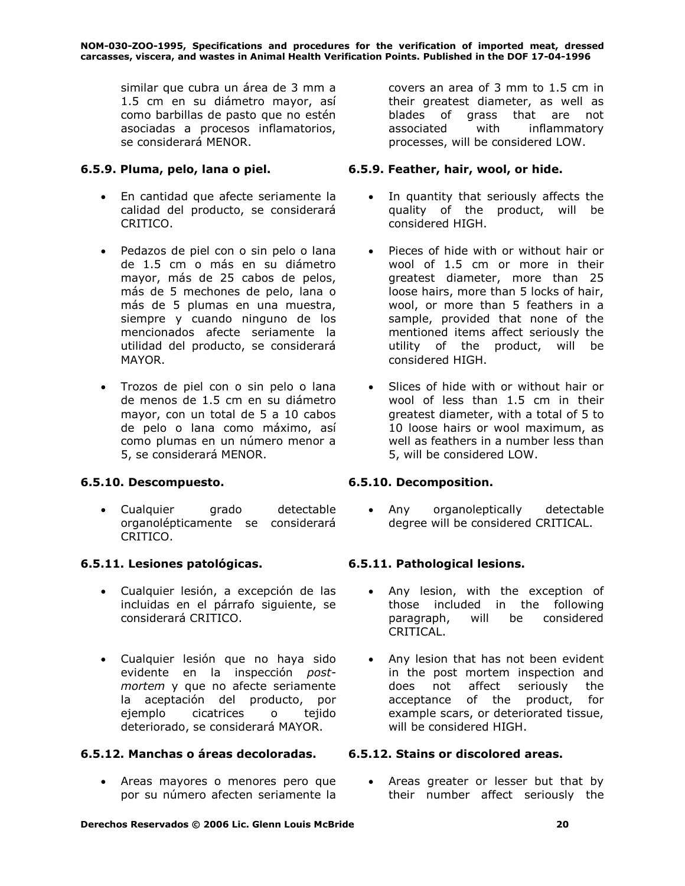similar que cubra un área de 3 mm a 1.5 cm en su diámetro mayor, así como barbillas de pasto que no estén asociadas a procesos inflamatorios, se considerará MENOR.

- En cantidad que afecte seriamente la calidad del producto, se considerará CRITICO.
- Pedazos de piel con o sin pelo o lana de 1.5 cm o más en su diámetro mayor, más de 25 cabos de pelos, más de 5 mechones de pelo, lana o más de 5 plumas en una muestra, siempre y cuando ninguno de los mencionados afecte seriamente la utilidad del producto, se considerará MAYOR.
- Trozos de piel con o sin pelo o lana de menos de 1.5 cm en su diámetro mayor, con un total de 5 a 10 cabos de pelo o lana como máximo, así como plumas en un número menor a 5, se considerará MENOR.

# **6.5.10. Descompuesto. 6.5.10. Decomposition.**

• Cualquier grado detectable organolépticamente se considerará CRITICO.

# **6.5.11. Lesiones patológicas. 6.5.11. Pathological lesions.**

- Cualquier lesión, a excepción de las incluidas en el párrafo siguiente, se considerará CRITICO.
- Cualquier lesión que no haya sido evidente en la inspección *postmortem* y que no afecte seriamente la aceptación del producto, por ejemplo cicatrices o tejido deteriorado, se considerará MAYOR.

# **6.5.12. Manchas o áreas decoloradas. 6.5.12. Stains or discolored areas.**

• Areas mayores o menores pero que por su número afecten seriamente la

covers an area of 3 mm to 1.5 cm in their greatest diameter, as well as blades of grass that are not associated with inflammatory processes, will be considered LOW.

# **6.5.9. Pluma, pelo, lana o piel. 6.5.9. Feather, hair, wool, or hide.**

- In quantity that seriously affects the quality of the product, will be considered HIGH.
- Pieces of hide with or without hair or wool of 1.5 cm or more in their greatest diameter, more than 25 loose hairs, more than 5 locks of hair, wool, or more than 5 feathers in a sample, provided that none of the mentioned items affect seriously the utility of the product, will be considered HIGH.
- Slices of hide with or without hair or wool of less than 1.5 cm in their greatest diameter, with a total of 5 to 10 loose hairs or wool maximum, as well as feathers in a number less than 5, will be considered LOW.

• Any organoleptically detectable degree will be considered CRITICAL.

- Any lesion, with the exception of those included in the following paragraph, will be considered CRITICAL.
- Any lesion that has not been evident in the post mortem inspection and does not affect seriously the acceptance of the product, for example scars, or deteriorated tissue, will be considered HIGH.

• Areas greater or lesser but that by their number affect seriously the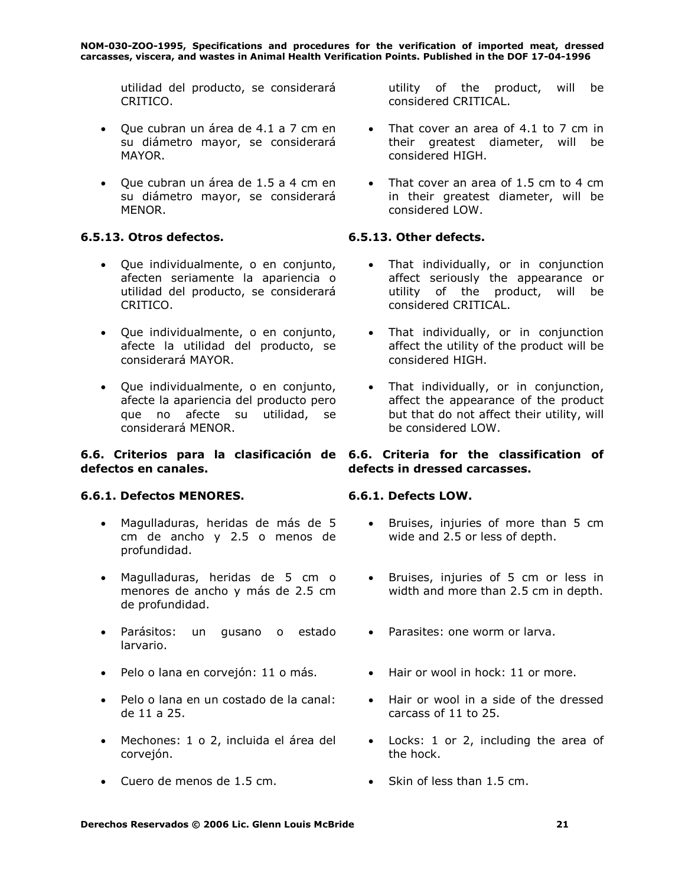utilidad del producto, se considerará CRITICO.

- Que cubran un área de 4.1 a 7 cm en su diámetro mayor, se considerará MAYOR.
- Que cubran un área de 1.5 a 4 cm en su diámetro mayor, se considerará MENOR.

# **6.5.13. Otros defectos. 6.5.13. Other defects.**

- Que individualmente, o en conjunto, afecten seriamente la apariencia o utilidad del producto, se considerará CRITICO.
- Que individualmente, o en conjunto, afecte la utilidad del producto, se considerará MAYOR.
- Que individualmente, o en conjunto, afecte la apariencia del producto pero que no afecte su utilidad, se considerará MENOR.

### **6.6. Criterios para la clasificación de 6.6. Criteria for the classification of defectos en canales.**

# **6.6.1. Defectos MENORES. 6.6.1. Defects LOW.**

- Magulladuras, heridas de más de 5 cm de ancho y 2.5 o menos de profundidad.
- Magulladuras, heridas de 5 cm o menores de ancho y más de 2.5 cm de profundidad.
- Parásitos: un gusano o estado larvario.
- Pelo o lana en corvejón: 11 o más. Hair or wool in hock: 11 or more.
- Pelo o lana en un costado de la canal: de 11 a 25.
- Mechones: 1 o 2, incluida el área del corvejón.
- Cuero de menos de 1.5 cm. Skin of less than 1.5 cm.

utility of the product, will be considered CRITICAL.

- That cover an area of 4.1 to 7 cm in their greatest diameter, will be considered HIGH.
- That cover an area of 1.5 cm to 4 cm in their greatest diameter, will be considered LOW.

- That individually, or in conjunction affect seriously the appearance or utility of the product, will be considered CRITICAL.
- That individually, or in conjunction affect the utility of the product will be considered HIGH.
- That individually, or in conjunction, affect the appearance of the product but that do not affect their utility, will be considered LOW.

# **defects in dressed carcasses.**

- Bruises, injuries of more than 5 cm wide and 2.5 or less of depth.
- Bruises, injuries of 5 cm or less in width and more than 2.5 cm in depth.
- Parasites: one worm or larva.
- 
- Hair or wool in a side of the dressed carcass of 11 to 25.
- Locks: 1 or 2, including the area of the hock.
-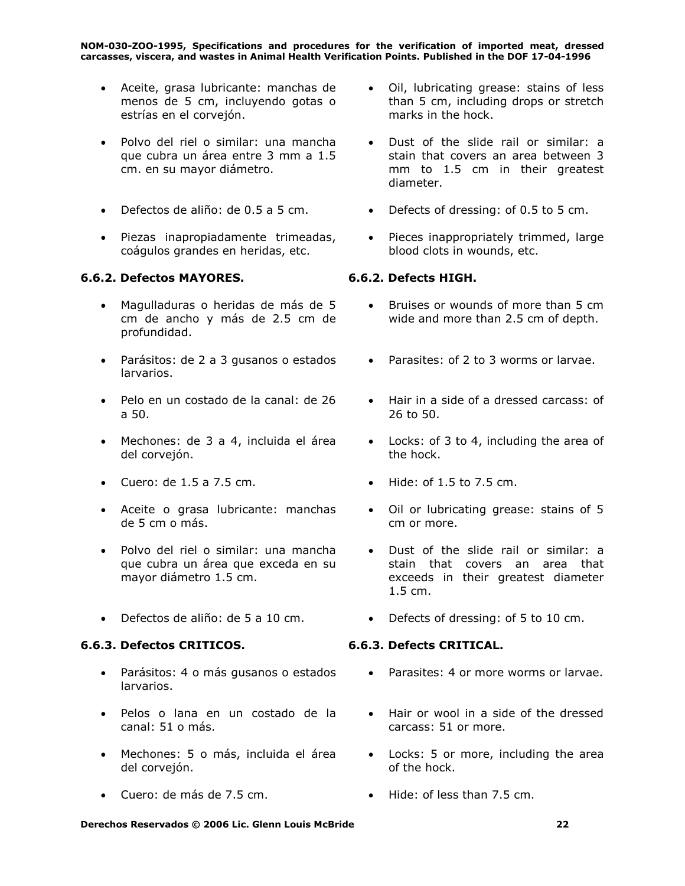- Aceite, grasa lubricante: manchas de menos de 5 cm, incluyendo gotas o estrías en el corvejón.
- Polvo del riel o similar: una mancha que cubra un área entre 3 mm a 1.5 cm. en su mayor diámetro.
- 
- Piezas inapropiadamente trimeadas, coágulos grandes en heridas, etc.

# **6.6.2. Defectos MAYORES. 6.6.2. Defects HIGH.**

- Magulladuras o heridas de más de 5 cm de ancho y más de 2.5 cm de profundidad.
- Parásitos: de 2 a 3 gusanos o estados larvarios.
- Pelo en un costado de la canal: de 26 a 50.
- Mechones: de 3 a 4, incluida el área del corvejón.
- Cuero: de 1.5 a 7.5 cm. Hide: of 1.5 to 7.5 cm.
- Aceite o grasa lubricante: manchas de 5 cm o más.
- Polvo del riel o similar: una mancha que cubra un área que exceda en su mayor diámetro 1.5 cm.
- 

### **6.6.3. Defectos CRITICOS. 6.6.3. Defects CRITICAL.**

- Parásitos: 4 o más gusanos o estados larvarios.
- Pelos o lana en un costado de la canal: 51 o más.
- Mechones: 5 o más, incluida el área del corvejón.
- Cuero: de más de 7.5 cm. Hide: of less than 7.5 cm.
- Oil, lubricating grease: stains of less than 5 cm, including drops or stretch marks in the hock.
- Dust of the slide rail or similar: a stain that covers an area between 3 mm to 1.5 cm in their greatest diameter.
- Defectos de aliño: de 0.5 a 5 cm. Defects of dressing: of 0.5 to 5 cm.
	- Pieces inappropriately trimmed, large blood clots in wounds, etc.

- Bruises or wounds of more than 5 cm wide and more than 2.5 cm of depth.
- Parasites: of 2 to 3 worms or larvae.
- Hair in a side of a dressed carcass: of 26 to 50.
- Locks: of 3 to 4, including the area of the hock.
- 
- Oil or lubricating grease: stains of 5 cm or more.
- Dust of the slide rail or similar: a stain that covers an area that exceeds in their greatest diameter 1.5 cm.
- Defectos de aliño: de 5 a 10 cm. Defects of dressing: of 5 to 10 cm.

- Parasites: 4 or more worms or larvae.
- Hair or wool in a side of the dressed carcass: 51 or more.
- Locks: 5 or more, including the area of the hock.
-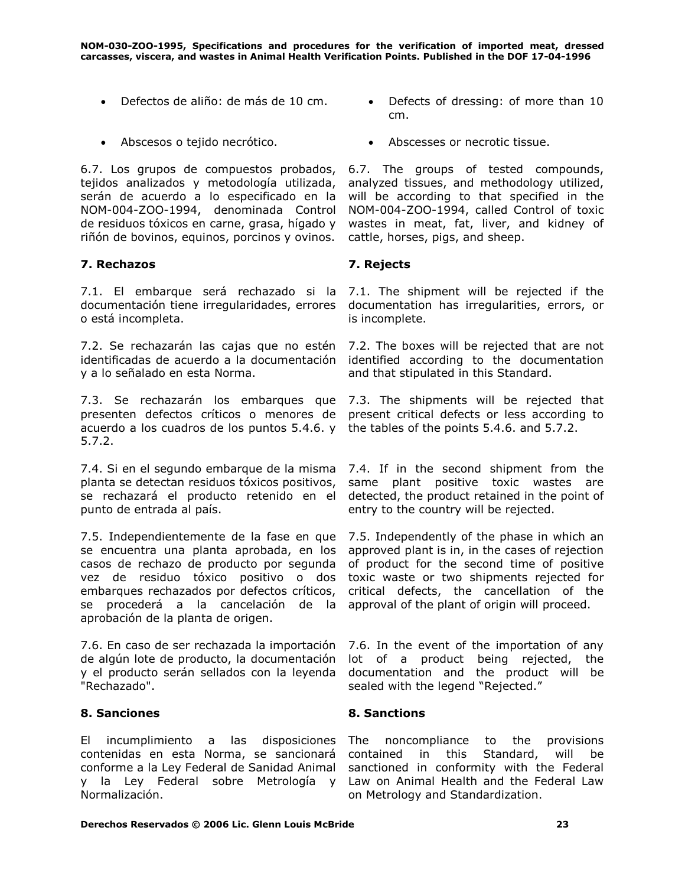- 
- 

6.7. Los grupos de compuestos probados, tejidos analizados y metodología utilizada, serán de acuerdo a lo especificado en la NOM-004-ZOO-1994, denominada Control de residuos tóxicos en carne, grasa, hígado y riñón de bovinos, equinos, porcinos y ovinos.

### **7. Rechazos 7. Rejects**

7.1. El embarque será rechazado si la 7.1. The shipment will be rejected if the documentación tiene irregularidades, errores o está incompleta.

7.2. Se rechazarán las cajas que no estén 7.2. The boxes will be rejected that are not identificadas de acuerdo a la documentación identified according to the documentation y a lo señalado en esta Norma.

7.3. Se rechazarán los embarques que 7.3. The shipments will be rejected that presenten defectos críticos o menores de present critical defects or less according to acuerdo a los cuadros de los puntos 5.4.6. y the tables of the points 5.4.6. and 5.7.2. 5.7.2.

7.4. Si en el segundo embarque de la misma 7.4. If in the second shipment from the planta se detectan residuos tóxicos positivos, se rechazará el producto retenido en el punto de entrada al país.

7.5. Independientemente de la fase en que 7.5. Independently of the phase in which an se encuentra una planta aprobada, en los casos de rechazo de producto por segunda vez de residuo tóxico positivo o dos embarques rechazados por defectos críticos, se procederá a la cancelación de la aprobación de la planta de origen.

7.6. En caso de ser rechazada la importación de algún lote de producto, la documentación y el producto serán sellados con la leyenda "Rechazado".

### **8. Sanciones 8. Sanctions**

El incumplimiento a las disposiciones contenidas en esta Norma, se sancionará conforme a la Ley Federal de Sanidad Animal y la Ley Federal sobre Metrología y Law on Animal Health and the Federal Law Normalización.

- Defectos de aliño: de más de 10 cm. Defects of dressing: of more than 10 cm.
- Abscesos o tejido necrótico. Abscesses or necrotic tissue.

6.7. The groups of tested compounds, analyzed tissues, and methodology utilized, will be according to that specified in the NOM-004-ZOO-1994, called Control of toxic wastes in meat, fat, liver, and kidney of cattle, horses, pigs, and sheep.

documentation has irregularities, errors, or is incomplete.

and that stipulated in this Standard.

same plant positive toxic wastes are detected, the product retained in the point of entry to the country will be rejected.

approved plant is in, in the cases of rejection of product for the second time of positive toxic waste or two shipments rejected for critical defects, the cancellation of the approval of the plant of origin will proceed.

7.6. In the event of the importation of any lot of a product being rejected, the documentation and the product will be sealed with the legend "Rejected."

noncompliance to the provisions contained in this Standard, will be sanctioned in conformity with the Federal on Metrology and Standardization.